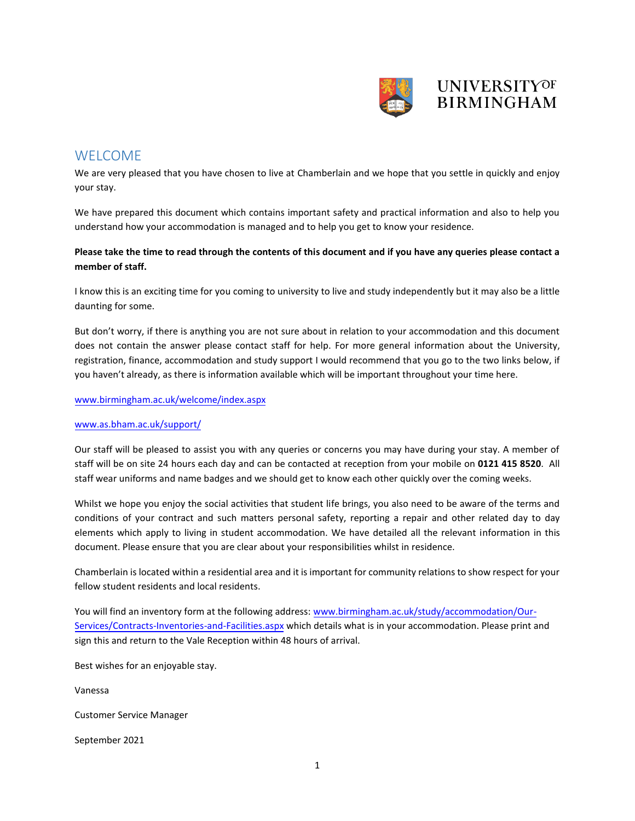

## **WELCOME**

We are very pleased that you have chosen to live at Chamberlain and we hope that you settle in quickly and enjoy your stay.

We have prepared this document which contains important safety and practical information and also to help you understand how your accommodation is managed and to help you get to know your residence.

### **Please take the time to read through the contents of this document and if you have any queries please contact a member of staff.**

I know this is an exciting time for you coming to university to live and study independently but it may also be a little daunting for some.

But don't worry, if there is anything you are not sure about in relation to your accommodation and this document does not contain the answer please contact staff for help. For more general information about the University, registration, finance, accommodation and study support I would recommend that you go to the two links below, if you haven't already, as there is information available which will be important throughout your time here.

#### [www.birmingham.ac.uk/welcome/index.aspx](http://www.birmingham.ac.uk/welcome/index.aspx)

### [www.as.bham.ac.uk/support/](http://www.as.bham.ac.uk/support/)

Our staff will be pleased to assist you with any queries or concerns you may have during your stay. A member of staff will be on site 24 hours each day and can be contacted at reception from your mobile on **0121 415 8520**. All staff wear uniforms and name badges and we should get to know each other quickly over the coming weeks.

Whilst we hope you enjoy the social activities that student life brings, you also need to be aware of the terms and conditions of your contract and such matters personal safety, reporting a repair and other related day to day elements which apply to living in student accommodation. We have detailed all the relevant information in this document. Please ensure that you are clear about your responsibilities whilst in residence.

Chamberlain is located within a residential area and it is important for community relations to show respect for your fellow student residents and local residents.

You will find an inventory form at the following address: [www.birmingham.ac.uk/study/accommodation/Our-](http://www.birmingham.ac.uk/study/accommodation/Our-Services/Contracts-Inventories-and-Facilities.aspx)[Services/Contracts-Inventories-and-Facilities.aspx](http://www.birmingham.ac.uk/study/accommodation/Our-Services/Contracts-Inventories-and-Facilities.aspx) which details what is in your accommodation. Please print and sign this and return to the Vale Reception within 48 hours of arrival.

Best wishes for an enjoyable stay.

Vanessa

Customer Service Manager

September 2021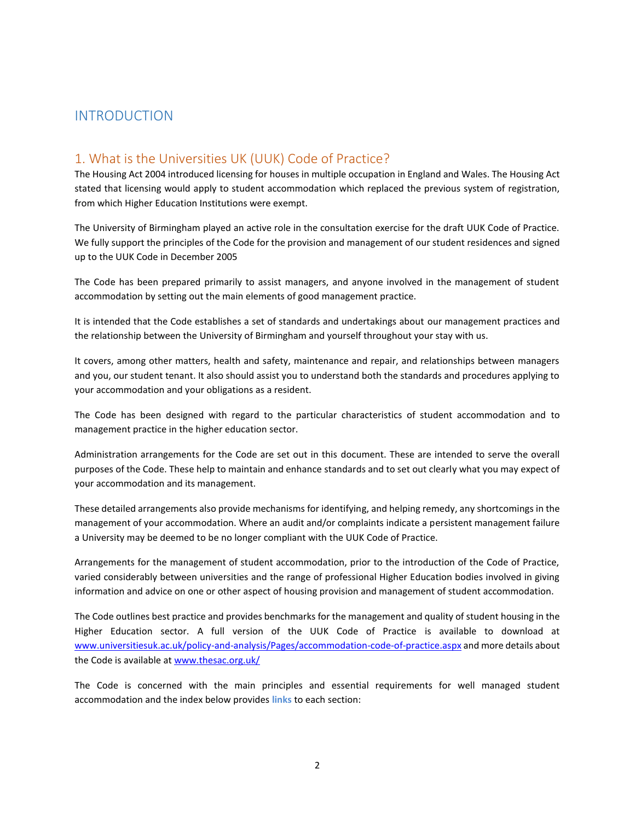## INTRODUCTION

## 1. What is the Universities UK (UUK) Code of Practice?

The Housing Act 2004 introduced licensing for houses in multiple occupation in England and Wales. The Housing Act stated that licensing would apply to student accommodation which replaced the previous system of registration, from which Higher Education Institutions were exempt.

The University of Birmingham played an active role in the consultation exercise for the draft UUK Code of Practice. We fully support the principles of the Code for the provision and management of our student residences and signed up to the UUK Code in December 2005

The Code has been prepared primarily to assist managers, and anyone involved in the management of student accommodation by setting out the main elements of good management practice.

It is intended that the Code establishes a set of standards and undertakings about our management practices and the relationship between the University of Birmingham and yourself throughout your stay with us.

It covers, among other matters, health and safety, maintenance and repair, and relationships between managers and you, our student tenant. It also should assist you to understand both the standards and procedures applying to your accommodation and your obligations as a resident.

The Code has been designed with regard to the particular characteristics of student accommodation and to management practice in the higher education sector.

Administration arrangements for the Code are set out in this document. These are intended to serve the overall purposes of the Code. These help to maintain and enhance standards and to set out clearly what you may expect of your accommodation and its management.

These detailed arrangements also provide mechanisms for identifying, and helping remedy, any shortcomings in the management of your accommodation. Where an audit and/or complaints indicate a persistent management failure a University may be deemed to be no longer compliant with the UUK Code of Practice.

Arrangements for the management of student accommodation, prior to the introduction of the Code of Practice, varied considerably between universities and the range of professional Higher Education bodies involved in giving information and advice on one or other aspect of housing provision and management of student accommodation.

The Code outlines best practice and provides benchmarks for the management and quality of student housing in the Higher Education sector. A full version of the UUK Code of Practice is available to download at [www.universitiesuk.ac.uk/policy-and-analysis/Pages/accommodation-code-of-practice.aspx](http://www.universitiesuk.ac.uk/policy-and-analysis/Pages/accommodation-code-of-practice.aspx) and more details about the Code is available at [www.thesac.org.uk/](http://www.thesac.org.uk/) 

The Code is concerned with the main principles and essential requirements for well managed student accommodation and the index below provides **links** to each section: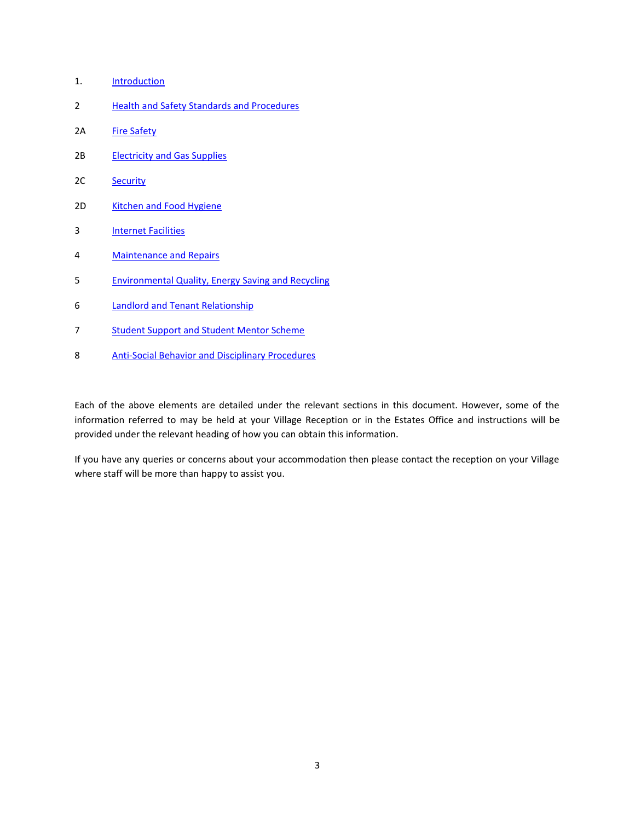- 1. Introduction
- 2 [Health and Safety Standards and Procedures](#page-3-0)
- 2A [Fire Safety](#page-6-0)
- 2B [Electricity and Gas Supplies](#page-9-0)
- 2C [Security](#page-14-0)
- 2D [Kitchen and Food Hygiene](#page-16-0)
- 3 [Internet Facilities](#page-22-0)
- 4 [Maintenance and Repairs](#page-22-1)
- 5 [Environmental Quality, Energy](#page-26-0) Saving and Recycling
- 6 [Landlord and Tenant Relationship](#page-32-0)
- 7 Student Support and Student Mentor Scheme
- 8 [Anti-Social Behavior and Disciplinary Procedures](#page-40-0)

Each of the above elements are detailed under the relevant sections in this document. However, some of the information referred to may be held at your Village Reception or in the Estates Office and instructions will be provided under the relevant heading of how you can obtain this information.

If you have any queries or concerns about your accommodation then please contact the reception on your Village where staff will be more than happy to assist you.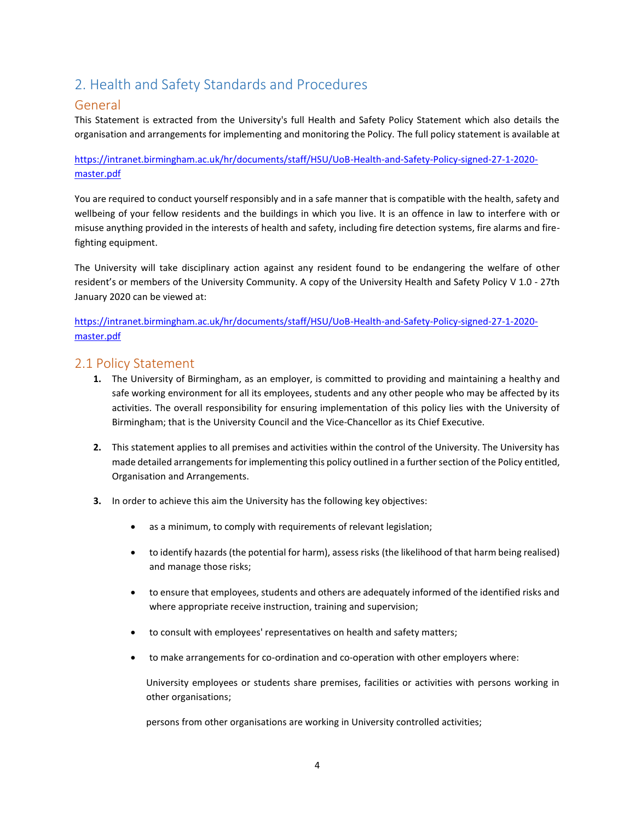## <span id="page-3-0"></span>2. Health and Safety Standards and Procedures

## General

This Statement is extracted from the University's full Health and Safety Policy Statement which also details the organisation and arrangements for implementing and monitoring the Policy. The full policy statement is available at

[https://intranet.birmingham.ac.uk/hr/documents/staff/HSU/UoB-Health-and-Safety-Policy-signed-27-1-2020](https://intranet.birmingham.ac.uk/hr/documents/staff/HSU/UoB-Health-and-Safety-Policy-signed-27-1-2020-master.pdf) [master.pdf](https://intranet.birmingham.ac.uk/hr/documents/staff/HSU/UoB-Health-and-Safety-Policy-signed-27-1-2020-master.pdf)

You are required to conduct yourself responsibly and in a safe manner that is compatible with the health, safety and wellbeing of your fellow residents and the buildings in which you live. It is an offence in law to interfere with or misuse anything provided in the interests of health and safety, including fire detection systems, fire alarms and firefighting equipment.

The University will take disciplinary action against any resident found to be endangering the welfare of other resident's or members of the University Community. A copy of the University Health and Safety Policy V 1.0 - 27th January 2020 can be viewed at:

[https://intranet.birmingham.ac.uk/hr/documents/staff/HSU/UoB-Health-and-Safety-Policy-signed-27-1-2020](https://intranet.birmingham.ac.uk/hr/documents/staff/HSU/UoB-Health-and-Safety-Policy-signed-27-1-2020-master.pdf) [master.pdf](https://intranet.birmingham.ac.uk/hr/documents/staff/HSU/UoB-Health-and-Safety-Policy-signed-27-1-2020-master.pdf)

## 2.1 Policy Statement

- **1.** The University of Birmingham, as an employer, is committed to providing and maintaining a healthy and safe working environment for all its employees, students and any other people who may be affected by its activities. The overall responsibility for ensuring implementation of this policy lies with the University of Birmingham; that is the University Council and the Vice-Chancellor as its Chief Executive.
- **2.** This statement applies to all premises and activities within the control of the University. The University has made detailed arrangements for implementing this policy outlined in a further section of the Policy entitled, Organisation and Arrangements.
- **3.** In order to achieve this aim the University has the following key objectives:
	- as a minimum, to comply with requirements of relevant legislation;
	- to identify hazards (the potential for harm), assess risks (the likelihood of that harm being realised) and manage those risks;
	- to ensure that employees, students and others are adequately informed of the identified risks and where appropriate receive instruction, training and supervision;
	- to consult with employees' representatives on health and safety matters;
	- to make arrangements for co-ordination and co-operation with other employers where:

University employees or students share premises, facilities or activities with persons working in other organisations;

persons from other organisations are working in University controlled activities;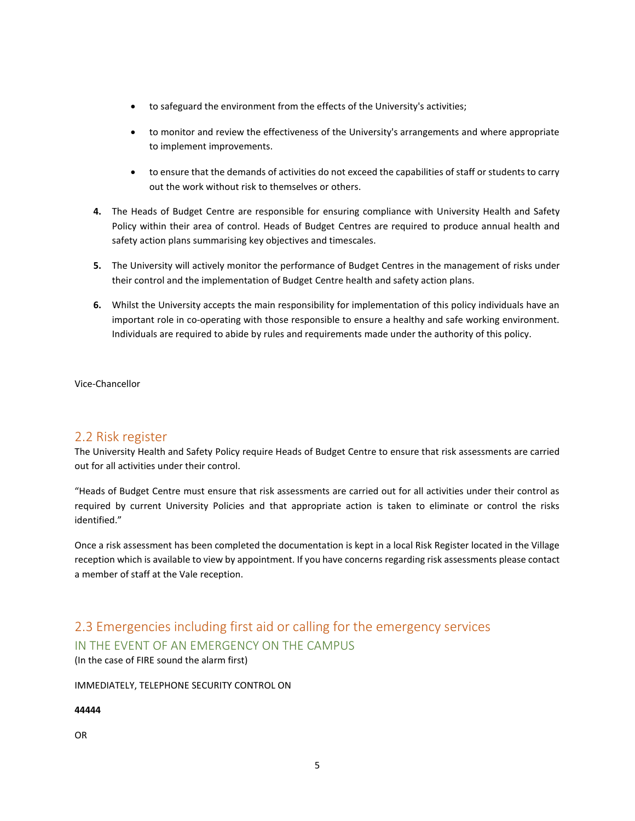- to safeguard the environment from the effects of the University's activities;
- to monitor and review the effectiveness of the University's arrangements and where appropriate to implement improvements.
- to ensure that the demands of activities do not exceed the capabilities of staff or students to carry out the work without risk to themselves or others.
- **4.** The Heads of Budget Centre are responsible for ensuring compliance with University Health and Safety Policy within their area of control. Heads of Budget Centres are required to produce annual health and safety action plans summarising key objectives and timescales.
- **5.** The University will actively monitor the performance of Budget Centres in the management of risks under their control and the implementation of Budget Centre health and safety action plans.
- **6.** Whilst the University accepts the main responsibility for implementation of this policy individuals have an important role in co-operating with those responsible to ensure a healthy and safe working environment. Individuals are required to abide by rules and requirements made under the authority of this policy.

Vice-Chancellor

## 2.2 Risk register

The University Health and Safety Policy require Heads of Budget Centre to ensure that risk assessments are carried out for all activities under their control.

"Heads of Budget Centre must ensure that risk assessments are carried out for all activities under their control as required by current University Policies and that appropriate action is taken to eliminate or control the risks identified."

Once a risk assessment has been completed the documentation is kept in a local Risk Register located in the Village reception which is available to view by appointment. If you have concerns regarding risk assessments please contact a member of staff at the Vale reception.

## 2.3 Emergencies including first aid or calling for the emergency services IN THE EVENT OF AN EMERGENCY ON THE CAMPUS

(In the case of FIRE sound the alarm first)

### IMMEDIATELY, TELEPHONE SECURITY CONTROL ON

## **44444**

OR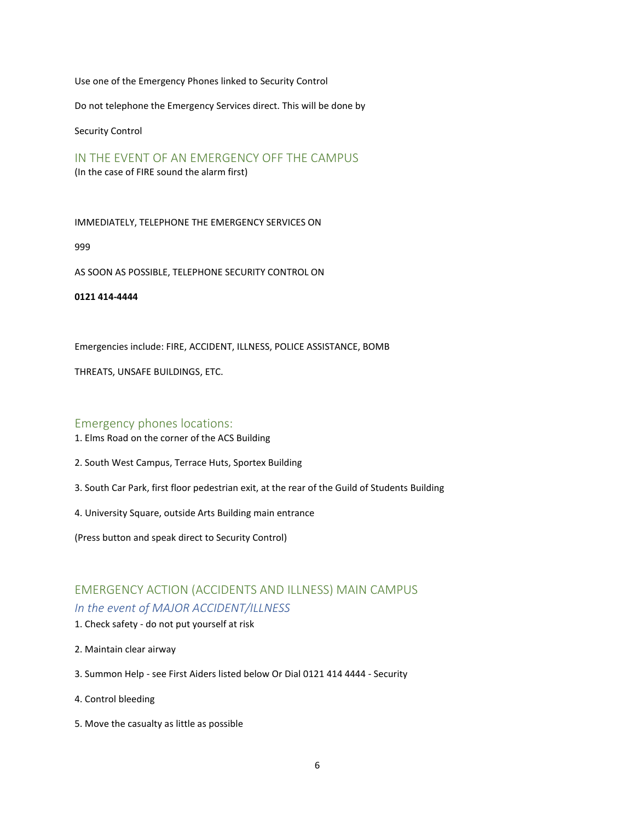Use one of the Emergency Phones linked to Security Control

Do not telephone the Emergency Services direct. This will be done by

Security Control

IN THE EVENT OF AN EMERGENCY OFF THE CAMPUS (In the case of FIRE sound the alarm first)

IMMEDIATELY, TELEPHONE THE EMERGENCY SERVICES ON

999

AS SOON AS POSSIBLE, TELEPHONE SECURITY CONTROL ON

**0121 414-4444**

Emergencies include: FIRE, ACCIDENT, ILLNESS, POLICE ASSISTANCE, BOMB

THREATS, UNSAFE BUILDINGS, ETC.

### Emergency phones locations:

- 1. Elms Road on the corner of the ACS Building
- 2. South West Campus, Terrace Huts, Sportex Building
- 3. South Car Park, first floor pedestrian exit, at the rear of the Guild of Students Building
- 4. University Square, outside Arts Building main entrance

(Press button and speak direct to Security Control)

## EMERGENCY ACTION (ACCIDENTS AND ILLNESS) MAIN CAMPUS *In the event of MAJOR ACCIDENT/ILLNESS*

- 1. Check safety do not put yourself at risk
- 2. Maintain clear airway
- 3. Summon Help see First Aiders listed below Or Dial 0121 414 4444 Security
- 4. Control bleeding
- 5. Move the casualty as little as possible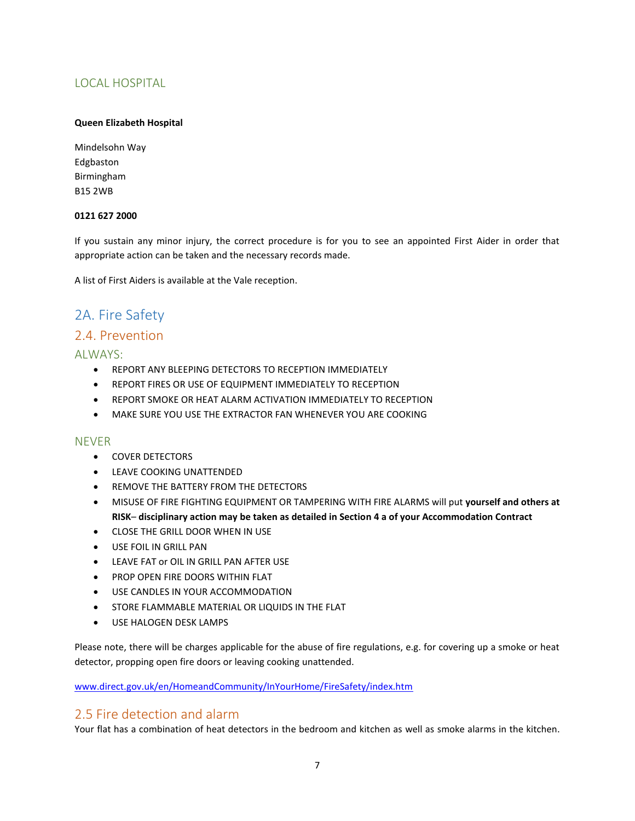## LOCAL HOSPITAL

### **Queen Elizabeth Hospital**

Mindelsohn Way Edgbaston Birmingham B15 2WB

### **0121 627 2000**

If you sustain any minor injury, the correct procedure is for you to see an appointed First Aider in order that appropriate action can be taken and the necessary records made.

A list of First Aiders is available at the Vale reception.

## <span id="page-6-0"></span>2A. Fire Safety

## 2.4. Prevention

### ALWAYS:

- REPORT ANY BLEEPING DETECTORS TO RECEPTION IMMEDIATELY
- REPORT FIRES OR USE OF EQUIPMENT IMMEDIATELY TO RECEPTION
- REPORT SMOKE OR HEAT ALARM ACTIVATION IMMEDIATELY TO RECEPTION
- MAKE SURE YOU USE THE EXTRACTOR FAN WHENEVER YOU ARE COOKING

### NEVER

- COVER DETECTORS
- LEAVE COOKING UNATTENDED
- REMOVE THE BATTERY FROM THE DETECTORS
- MISUSE OF FIRE FIGHTING EQUIPMENT OR TAMPERING WITH FIRE ALARMS will put **yourself and others at RISK**– **disciplinary action may be taken as detailed in Section 4 a of your Accommodation Contract**
- CLOSE THE GRILL DOOR WHEN IN USE
- USE FOIL IN GRILL PAN
- LEAVE FAT or OIL IN GRILL PAN AFTER USE
- PROP OPEN FIRE DOORS WITHIN FLAT
- USE CANDLES IN YOUR ACCOMMODATION
- STORE FLAMMABLE MATERIAL OR LIQUIDS IN THE FLAT
- USE HALOGEN DESK LAMPS

Please note, there will be charges applicable for the abuse of fire regulations, e.g. for covering up a smoke or heat detector, propping open fire doors or leaving cooking unattended.

[www.direct.gov.uk/en/HomeandCommunity/InYourHome/FireSafety/index.htm](http://www.direct.gov.uk/en/HomeandCommunity/InYourHome/FireSafety/index.htm)

## 2.5 Fire detection and alarm

Your flat has a combination of heat detectors in the bedroom and kitchen as well as smoke alarms in the kitchen.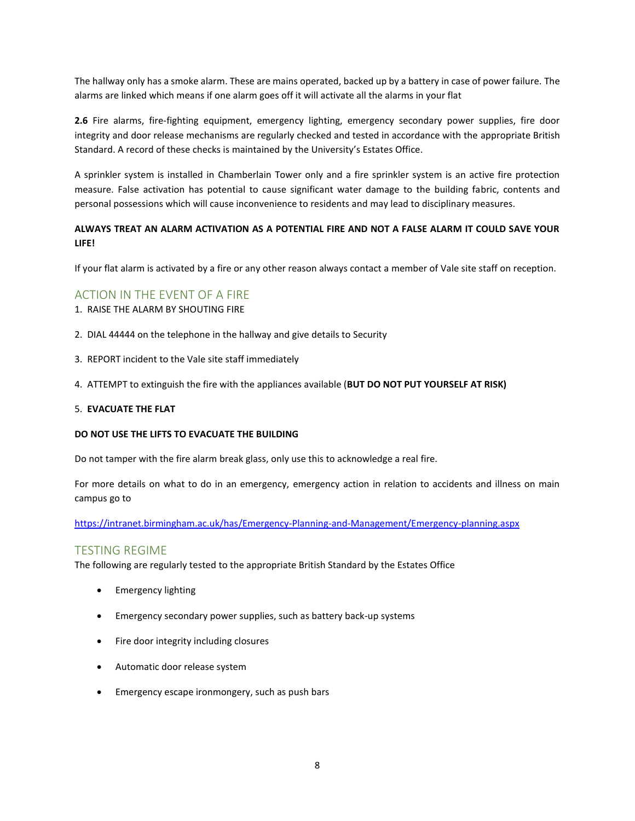The hallway only has a smoke alarm. These are mains operated, backed up by a battery in case of power failure. The alarms are linked which means if one alarm goes off it will activate all the alarms in your flat

**2.6** Fire alarms, fire-fighting equipment, emergency lighting, emergency secondary power supplies, fire door integrity and door release mechanisms are regularly checked and tested in accordance with the appropriate British Standard. A record of these checks is maintained by the University's Estates Office.

A sprinkler system is installed in Chamberlain Tower only and a fire sprinkler system is an active fire protection measure. False activation has potential to cause significant water damage to the building fabric, contents and personal possessions which will cause inconvenience to residents and may lead to disciplinary measures.

### **ALWAYS TREAT AN ALARM ACTIVATION AS A POTENTIAL FIRE AND NOT A FALSE ALARM IT COULD SAVE YOUR LIFE!**

If your flat alarm is activated by a fire or any other reason always contact a member of Vale site staff on reception.

### ACTION IN THE EVENT OF A FIRE

- 1. RAISE THE ALARM BY SHOUTING FIRE
- 2. DIAL 44444 on the telephone in the hallway and give details to Security
- 3. REPORT incident to the Vale site staff immediately
- 4. ATTEMPT to extinguish the fire with the appliances available (**BUT DO NOT PUT YOURSELF AT RISK)**

#### 5. **EVACUATE THE FLAT**

#### **DO NOT USE THE LIFTS TO EVACUATE THE BUILDING**

Do not tamper with the fire alarm break glass, only use this to acknowledge a real fire.

For more details on what to do in an emergency, emergency action in relation to accidents and illness on main campus go to

<https://intranet.birmingham.ac.uk/has/Emergency-Planning-and-Management/Emergency-planning.aspx>

### TESTING REGIME

The following are regularly tested to the appropriate British Standard by the Estates Office

- Emergency lighting
- Emergency secondary power supplies, such as battery back-up systems
- Fire door integrity including closures
- Automatic door release system
- Emergency escape ironmongery, such as push bars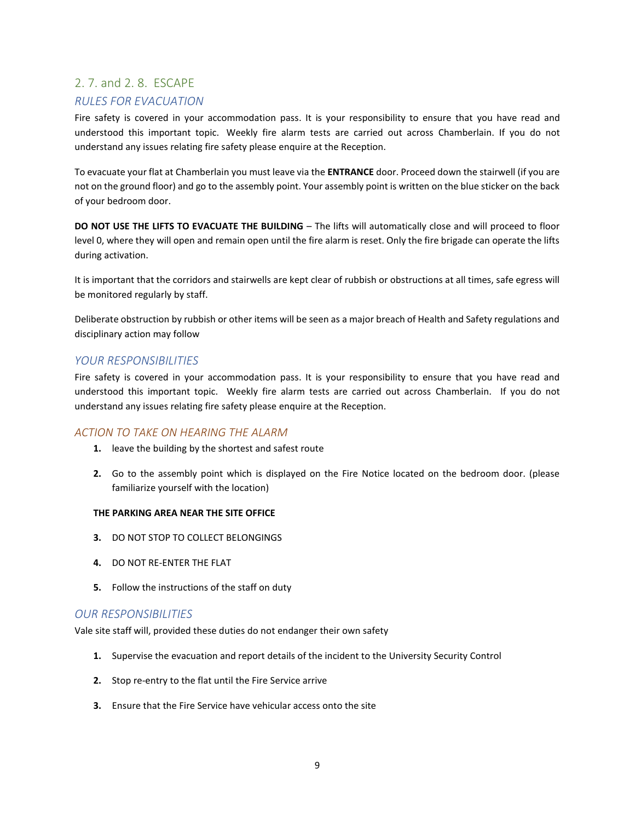## 2. 7. and 2. 8. ESCAPE

## *RULES FOR EVACUATION*

Fire safety is covered in your accommodation pass. It is your responsibility to ensure that you have read and understood this important topic. Weekly fire alarm tests are carried out across Chamberlain. If you do not understand any issues relating fire safety please enquire at the Reception.

To evacuate your flat at Chamberlain you must leave via the **ENTRANCE** door. Proceed down the stairwell (if you are not on the ground floor) and go to the assembly point. Your assembly point is written on the blue sticker on the back of your bedroom door.

**DO NOT USE THE LIFTS TO EVACUATE THE BUILDING** – The lifts will automatically close and will proceed to floor level 0, where they will open and remain open until the fire alarm is reset. Only the fire brigade can operate the lifts during activation.

It is important that the corridors and stairwells are kept clear of rubbish or obstructions at all times, safe egress will be monitored regularly by staff.

Deliberate obstruction by rubbish or other items will be seen as a major breach of Health and Safety regulations and disciplinary action may follow

### *YOUR RESPONSIBILITIES*

Fire safety is covered in your accommodation pass. It is your responsibility to ensure that you have read and understood this important topic. Weekly fire alarm tests are carried out across Chamberlain. If you do not understand any issues relating fire safety please enquire at the Reception.

### *ACTION TO TAKE ON HEARING THE ALARM*

- **1.** leave the building by the shortest and safest route
- **2.** Go to the assembly point which is displayed on the Fire Notice located on the bedroom door. (please familiarize yourself with the location)

#### **THE PARKING AREA NEAR THE SITE OFFICE**

- **3.** DO NOT STOP TO COLLECT BELONGINGS
- **4.** DO NOT RE-ENTER THE FLAT
- **5.** Follow the instructions of the staff on duty

### *OUR RESPONSIBILITIES*

Vale site staff will, provided these duties do not endanger their own safety

- **1.** Supervise the evacuation and report details of the incident to the University Security Control
- **2.** Stop re-entry to the flat until the Fire Service arrive
- **3.** Ensure that the Fire Service have vehicular access onto the site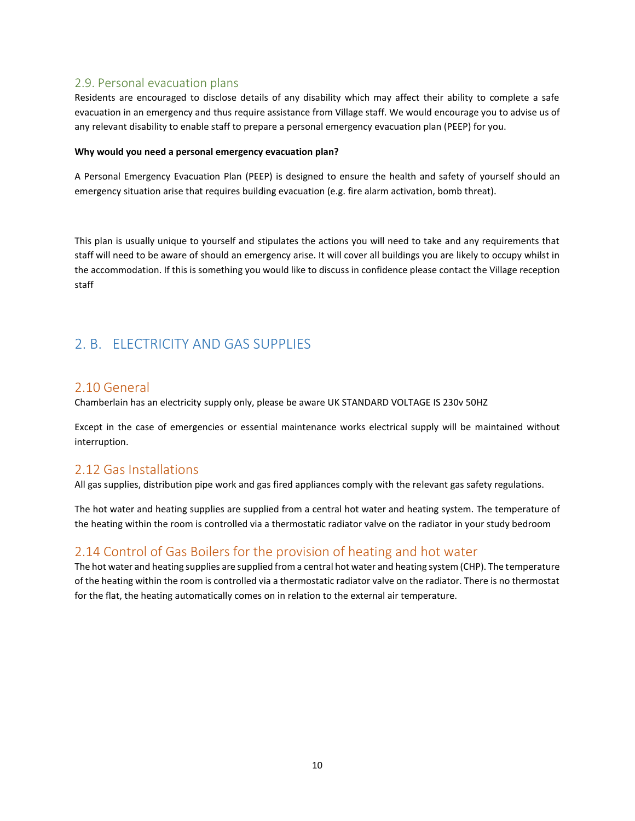## 2.9. Personal evacuation plans

Residents are encouraged to disclose details of any disability which may affect their ability to complete a safe evacuation in an emergency and thus require assistance from Village staff. We would encourage you to advise us of any relevant disability to enable staff to prepare a personal emergency evacuation plan (PEEP) for you.

#### **Why would you need a personal emergency evacuation plan?**

A Personal Emergency Evacuation Plan (PEEP) is designed to ensure the health and safety of yourself should an emergency situation arise that requires building evacuation (e.g. fire alarm activation, bomb threat).

This plan is usually unique to yourself and stipulates the actions you will need to take and any requirements that staff will need to be aware of should an emergency arise. It will cover all buildings you are likely to occupy whilst in the accommodation. If this is something you would like to discuss in confidence please contact the Village reception staff

## <span id="page-9-0"></span>2. B. ELECTRICITY AND GAS SUPPLIES

## 2.10 General

Chamberlain has an electricity supply only, please be aware UK STANDARD VOLTAGE IS 230v 50HZ

Except in the case of emergencies or essential maintenance works electrical supply will be maintained without interruption.

## 2.12 Gas Installations

All gas supplies, distribution pipe work and gas fired appliances comply with the relevant gas safety regulations.

The hot water and heating supplies are supplied from a central hot water and heating system. The temperature of the heating within the room is controlled via a thermostatic radiator valve on the radiator in your study bedroom

## 2.14 Control of Gas Boilers for the provision of heating and hot water

The hot water and heating supplies are supplied from a central hot water and heating system (CHP). The temperature of the heating within the room is controlled via a thermostatic radiator valve on the radiator. There is no thermostat for the flat, the heating automatically comes on in relation to the external air temperature.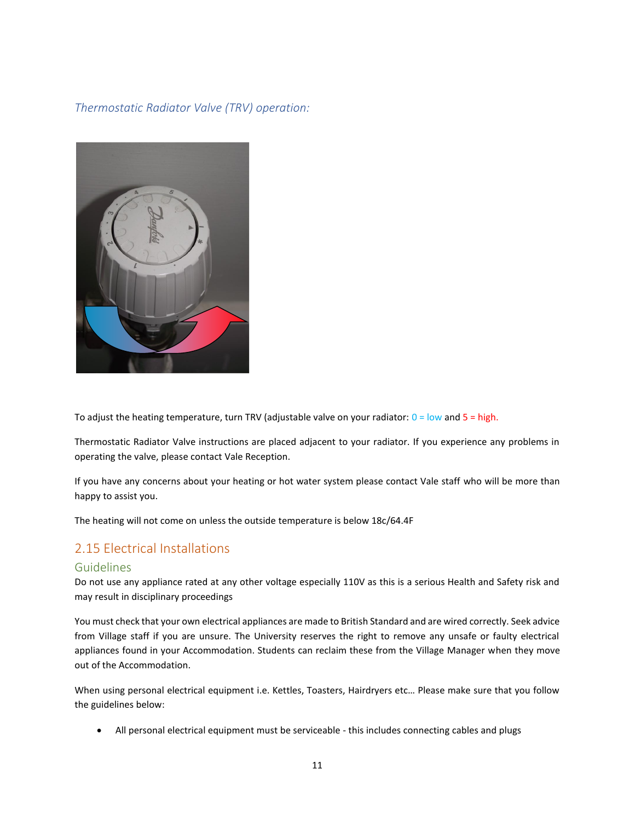*Thermostatic Radiator Valve (TRV) operation:*



To adjust the heating temperature, turn TRV (adjustable valve on your radiator:  $0 =$  low and  $5 =$  high.

Thermostatic Radiator Valve instructions are placed adjacent to your radiator. If you experience any problems in operating the valve, please contact Vale Reception.

If you have any concerns about your heating or hot water system please contact Vale staff who will be more than happy to assist you.

The heating will not come on unless the outside temperature is below 18c/64.4F

## 2.15 Electrical Installations

### Guidelines

Do not use any appliance rated at any other voltage especially 110V as this is a serious Health and Safety risk and may result in disciplinary proceedings

You must check that your own electrical appliances are made to British Standard and are wired correctly. Seek advice from Village staff if you are unsure. The University reserves the right to remove any unsafe or faulty electrical appliances found in your Accommodation. Students can reclaim these from the Village Manager when they move out of the Accommodation.

When using personal electrical equipment i.e. Kettles, Toasters, Hairdryers etc… Please make sure that you follow the guidelines below:

• All personal electrical equipment must be serviceable - this includes connecting cables and plugs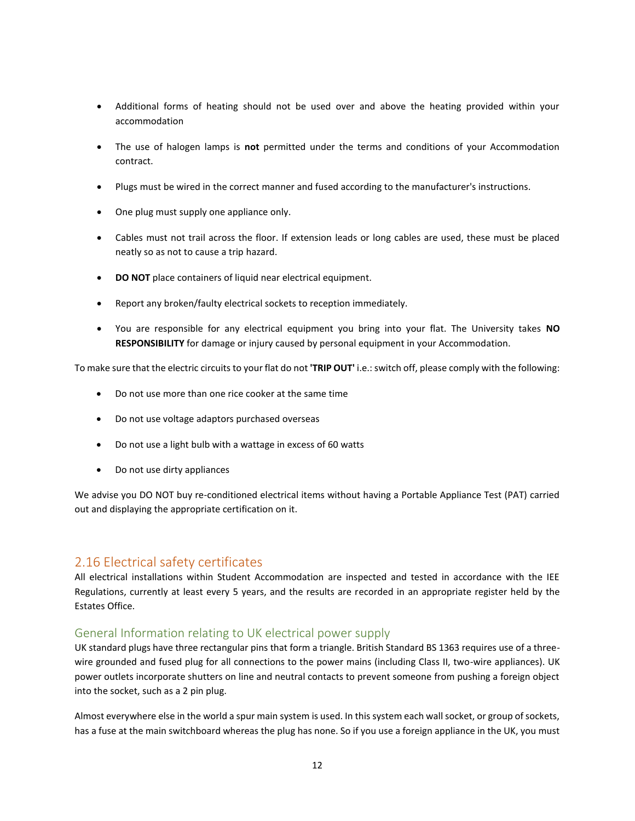- Additional forms of heating should not be used over and above the heating provided within your accommodation
- The use of halogen lamps is **not** permitted under the terms and conditions of your Accommodation contract.
- Plugs must be wired in the correct manner and fused according to the manufacturer's instructions.
- One plug must supply one appliance only.
- Cables must not trail across the floor. If extension leads or long cables are used, these must be placed neatly so as not to cause a trip hazard.
- **DO NOT** place containers of liquid near electrical equipment.
- Report any broken/faulty electrical sockets to reception immediately.
- You are responsible for any electrical equipment you bring into your flat. The University takes **NO RESPONSIBILITY** for damage or injury caused by personal equipment in your Accommodation.

To make sure that the electric circuits to your flat do not **'TRIP OUT'** i.e.: switch off, please comply with the following:

- Do not use more than one rice cooker at the same time
- Do not use voltage adaptors purchased overseas
- Do not use a light bulb with a wattage in excess of 60 watts
- Do not use dirty appliances

We advise you DO NOT buy re-conditioned electrical items without having a Portable Appliance Test (PAT) carried out and displaying the appropriate certification on it.

## 2.16 Electrical safety certificates

All electrical installations within Student Accommodation are inspected and tested in accordance with the IEE Regulations, currently at least every 5 years, and the results are recorded in an appropriate register held by the Estates Office.

## General Information relating to UK electrical power supply

UK standard plugs have three rectangular pins that form a triangle. British Standard BS 1363 requires use of a threewire grounded and fused plug for all connections to the power mains (including Class II, two-wire appliances). UK power outlets incorporate shutters on line and neutral contacts to prevent someone from pushing a foreign object into the socket, such as a 2 pin plug.

Almost everywhere else in the world a spur main system is used. In this system each wall socket, or group of sockets, has a fuse at the main switchboard whereas the plug has none. So if you use a foreign appliance in the UK, you must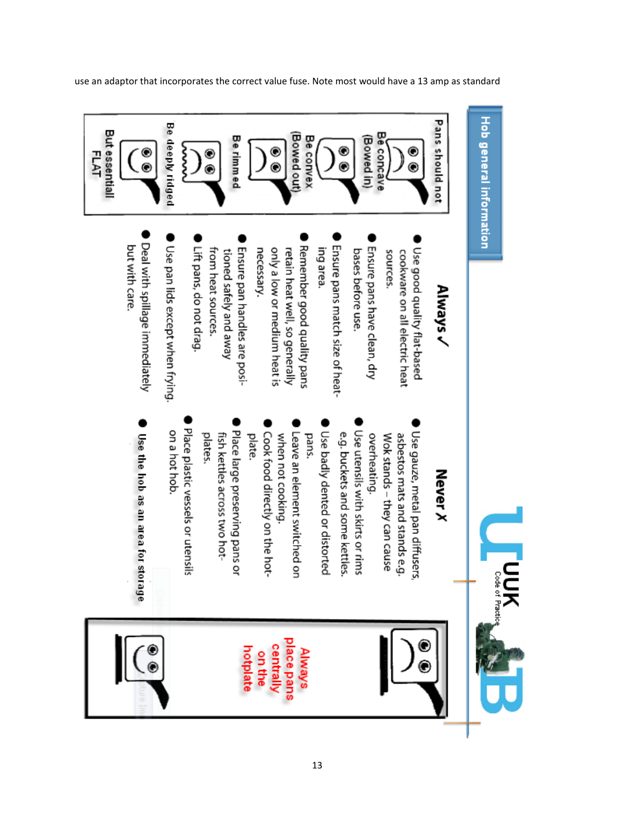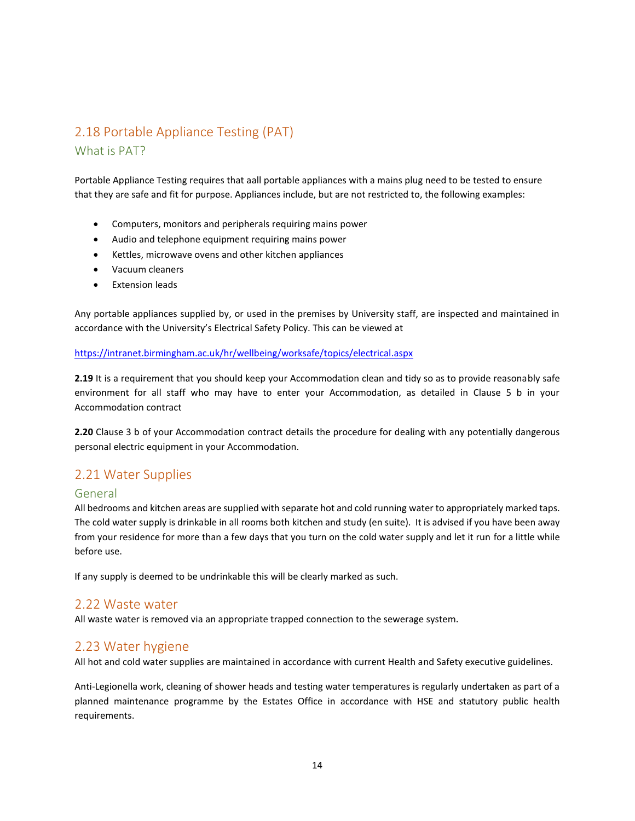## 2.18 Portable Appliance Testing (PAT) What is PAT?

Portable Appliance Testing requires that aall portable appliances with a mains plug need to be tested to ensure that they are safe and fit for purpose. Appliances include, but are not restricted to, the following examples:

- Computers, monitors and peripherals requiring mains power
- Audio and telephone equipment requiring mains power
- Kettles, microwave ovens and other kitchen appliances
- Vacuum cleaners
- Extension leads

Any portable appliances supplied by, or used in the premises by University staff, are inspected and maintained in accordance with the University's Electrical Safety Policy. This can be viewed at

#### <https://intranet.birmingham.ac.uk/hr/wellbeing/worksafe/topics/electrical.aspx>

**2.19** It is a requirement that you should keep your Accommodation clean and tidy so as to provide reasonably safe environment for all staff who may have to enter your Accommodation, as detailed in Clause 5 b in your Accommodation contract

**2.20** Clause 3 b of your Accommodation contract details the procedure for dealing with any potentially dangerous personal electric equipment in your Accommodation.

## 2.21 Water Supplies

### General

All bedrooms and kitchen areas are supplied with separate hot and cold running water to appropriately marked taps. The cold water supply is drinkable in all rooms both kitchen and study (en suite). It is advised if you have been away from your residence for more than a few days that you turn on the cold water supply and let it run for a little while before use.

If any supply is deemed to be undrinkable this will be clearly marked as such.

### 2.22 Waste water

All waste water is removed via an appropriate trapped connection to the sewerage system.

### 2.23 Water hygiene

All hot and cold water supplies are maintained in accordance with current Health and Safety executive guidelines.

Anti-Legionella work, cleaning of shower heads and testing water temperatures is regularly undertaken as part of a planned maintenance programme by the Estates Office in accordance with HSE and statutory public health requirements.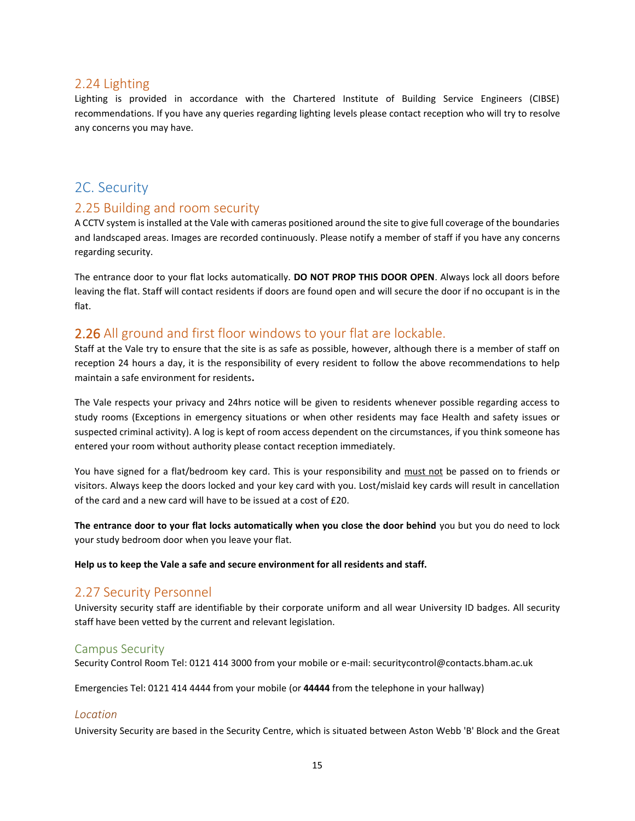## 2.24 Lighting

Lighting is provided in accordance with the Chartered Institute of Building Service Engineers (CIBSE) recommendations. If you have any queries regarding lighting levels please contact reception who will try to resolve any concerns you may have.

## <span id="page-14-0"></span>2C. Security

## 2.25 Building and room security

A CCTV system is installed at the Vale with cameras positioned around the site to give full coverage of the boundaries and landscaped areas. Images are recorded continuously. Please notify a member of staff if you have any concerns regarding security.

The entrance door to your flat locks automatically. **DO NOT PROP THIS DOOR OPEN**. Always lock all doors before leaving the flat. Staff will contact residents if doors are found open and will secure the door if no occupant is in the flat.

## 2.26 All ground and first floor windows to your flat are lockable.

Staff at the Vale try to ensure that the site is as safe as possible, however, although there is a member of staff on reception 24 hours a day, it is the responsibility of every resident to follow the above recommendations to help maintain a safe environment for residents**.** 

The Vale respects your privacy and 24hrs notice will be given to residents whenever possible regarding access to study rooms (Exceptions in emergency situations or when other residents may face Health and safety issues or suspected criminal activity). A log is kept of room access dependent on the circumstances, if you think someone has entered your room without authority please contact reception immediately.

You have signed for a flat/bedroom key card. This is your responsibility and must not be passed on to friends or visitors. Always keep the doors locked and your key card with you. Lost/mislaid key cards will result in cancellation of the card and a new card will have to be issued at a cost of £20.

**The entrance door to your flat locks automatically when you close the door behind** you but you do need to lock your study bedroom door when you leave your flat.

**Help us to keep the Vale a safe and secure environment for all residents and staff.**

## 2.27 Security Personnel

University security staff are identifiable by their corporate uniform and all wear University ID badges. All security staff have been vetted by the current and relevant legislation.

## Campus Security

Security Control Room Tel: 0121 414 3000 from your mobile or e-mail: securitycontrol@contacts.bham.ac.uk

Emergencies Tel: 0121 414 4444 from your mobile (or **44444** from the telephone in your hallway)

### *Location*

University Security are based in the Security Centre, which is situated between Aston Webb 'B' Block and the Great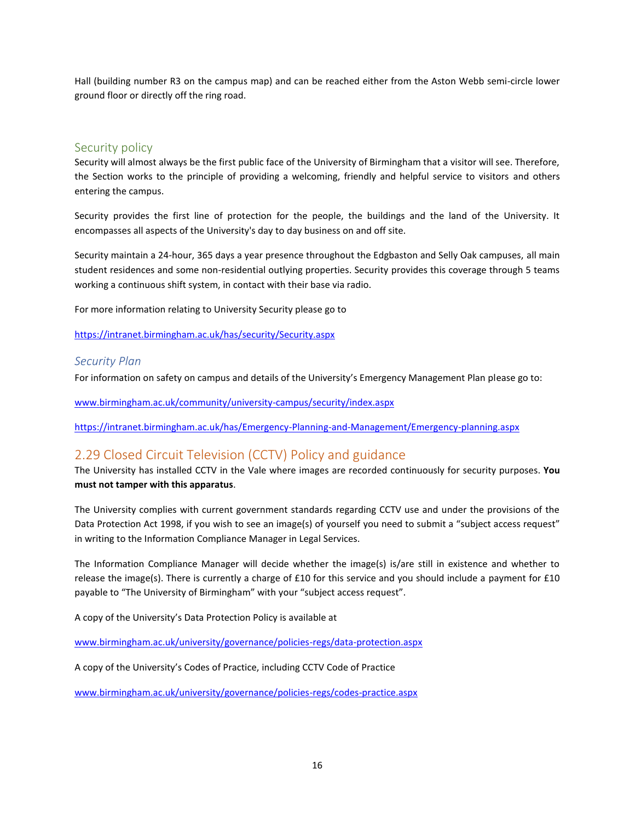Hall (building number R3 on the campus map) and can be reached either from the Aston Webb semi-circle lower ground floor or directly off the ring road.

## Security policy

Security will almost always be the first public face of the University of Birmingham that a visitor will see. Therefore, the Section works to the principle of providing a welcoming, friendly and helpful service to visitors and others entering the campus.

Security provides the first line of protection for the people, the buildings and the land of the University. It encompasses all aspects of the University's day to day business on and off site.

Security maintain a 24-hour, 365 days a year presence throughout the Edgbaston and Selly Oak campuses, all main student residences and some non-residential outlying properties. Security provides this coverage through 5 teams working a continuous shift system, in contact with their base via radio.

For more information relating to University Security please go to

<https://intranet.birmingham.ac.uk/has/security/Security.aspx>

### *Security Plan*

For information on safety on campus and details of the University's Emergency Management Plan please go to:

[www.birmingham.ac.uk/community/university-campus/security/index.aspx](http://www.birmingham.ac.uk/community/university-campus/security/index.aspx)

<https://intranet.birmingham.ac.uk/has/Emergency-Planning-and-Management/Emergency-planning.aspx>

## 2.29 Closed Circuit Television (CCTV) Policy and guidance

The University has installed CCTV in the Vale where images are recorded continuously for security purposes. **You must not tamper with this apparatus**.

The University complies with current government standards regarding CCTV use and under the provisions of the Data Protection Act 1998, if you wish to see an image(s) of yourself you need to submit a "subject access request" in writing to the Information Compliance Manager in Legal Services.

The Information Compliance Manager will decide whether the image(s) is/are still in existence and whether to release the image(s). There is currently a charge of £10 for this service and you should include a payment for £10 payable to "The University of Birmingham" with your "subject access request".

A copy of the University's Data Protection Policy is available at

[www.birmingham.ac.uk/university/governance/policies-regs/data-protection.aspx](http://www.birmingham.ac.uk/university/governance/policies-regs/data-protection.aspx)

A copy of the University's Codes of Practice, including CCTV Code of Practice

[www.birmingham.ac.uk/university/governance/policies-regs/codes-practice.aspx](http://www.birmingham.ac.uk/university/governance/policies-regs/codes-practice.aspx)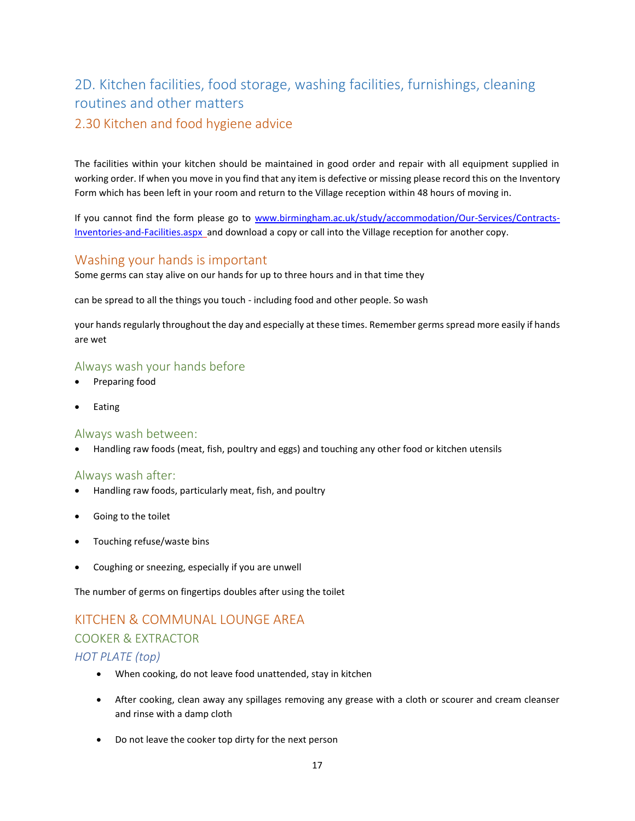# <span id="page-16-0"></span>2D. Kitchen facilities, food storage, washing facilities, furnishings, cleaning routines and other matters 2.30 Kitchen and food hygiene advice

The facilities within your kitchen should be maintained in good order and repair with all equipment supplied in working order. If when you move in you find that any item is defective or missing please record this on the Inventory Form which has been left in your room and return to the Village reception within 48 hours of moving in.

If you cannot find the form please go to [www.birmingham.ac.uk/study/accommodation/Our-Services/Contracts-](http://www.birmingham.ac.uk/study/accommodation/Our-Services/Contracts-Inventories-and-Facilities.aspx)[Inventories-and-Facilities.aspx](http://www.birmingham.ac.uk/study/accommodation/Our-Services/Contracts-Inventories-and-Facilities.aspx) and download a copy or call into the Village reception for another copy.

## Washing your hands is important

Some germs can stay alive on our hands for up to three hours and in that time they

can be spread to all the things you touch - including food and other people. So wash

your hands regularly throughout the day and especially at these times. Remember germs spread more easily if hands are wet

## Always wash your hands before

- Preparing food
- **Eating**

### Always wash between:

• Handling raw foods (meat, fish, poultry and eggs) and touching any other food or kitchen utensils

### Always wash after:

- Handling raw foods, particularly meat, fish, and poultry
- Going to the toilet
- Touching refuse/waste bins
- Coughing or sneezing, especially if you are unwell

The number of germs on fingertips doubles after using the toilet

# KITCHEN & COMMUNAL LOUNGE AREA COOKER & EXTRACTOR

## *HOT PLATE (top)*

- When cooking, do not leave food unattended, stay in kitchen
- After cooking, clean away any spillages removing any grease with a cloth or scourer and cream cleanser and rinse with a damp cloth
- Do not leave the cooker top dirty for the next person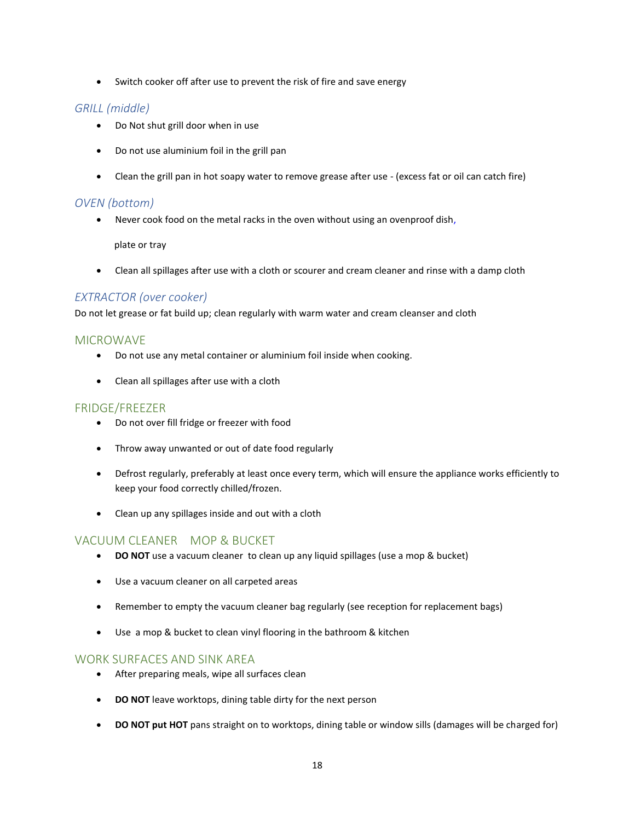• Switch cooker off after use to prevent the risk of fire and save energy

## *GRILL (middle)*

- Do Not shut grill door when in use
- Do not use aluminium foil in the grill pan
- Clean the grill pan in hot soapy water to remove grease after use (excess fat or oil can catch fire)

## *OVEN (bottom)*

• Never cook food on the metal racks in the oven without using an ovenproof dish,

plate or tray

• Clean all spillages after use with a cloth or scourer and cream cleaner and rinse with a damp cloth

## *EXTRACTOR (over cooker)*

Do not let grease or fat build up; clean regularly with warm water and cream cleanser and cloth

## MICROWAVE

- Do not use any metal container or aluminium foil inside when cooking.
- Clean all spillages after use with a cloth

### FRIDGE/FREEZER

- Do not over fill fridge or freezer with food
- Throw away unwanted or out of date food regularly
- Defrost regularly, preferably at least once every term, which will ensure the appliance works efficiently to keep your food correctly chilled/frozen.
- Clean up any spillages inside and out with a cloth

## VACUUM CLEANER MOP & BUCKET

- **DO NOT** use a vacuum cleaner to clean up any liquid spillages (use a mop & bucket)
- Use a vacuum cleaner on all carpeted areas
- Remember to empty the vacuum cleaner bag regularly (see reception for replacement bags)
- Use a mop & bucket to clean vinyl flooring in the bathroom & kitchen

### WORK SURFACES AND SINK AREA

- After preparing meals, wipe all surfaces clean
- **DO NOT** leave worktops, dining table dirty for the next person
- **DO NOT put HOT** pans straight on to worktops, dining table or window sills (damages will be charged for)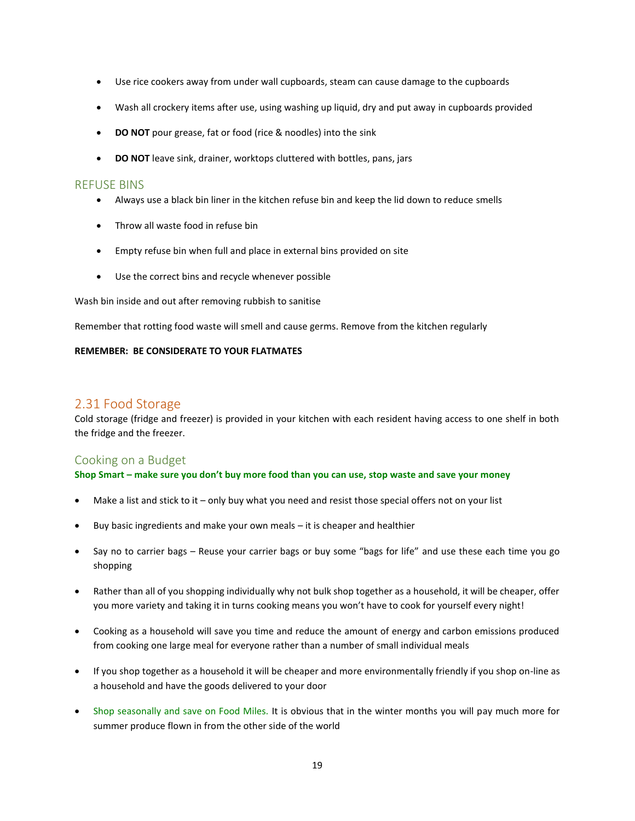- Use rice cookers away from under wall cupboards, steam can cause damage to the cupboards
- Wash all crockery items after use, using washing up liquid, dry and put away in cupboards provided
- **DO NOT** pour grease, fat or food (rice & noodles) into the sink
- **DO NOT** leave sink, drainer, worktops cluttered with bottles, pans, jars

#### REFUSE BINS

- Always use a black bin liner in the kitchen refuse bin and keep the lid down to reduce smells
- Throw all waste food in refuse bin
- Empty refuse bin when full and place in external bins provided on site
- Use the correct bins and recycle whenever possible

Wash bin inside and out after removing rubbish to sanitise

Remember that rotting food waste will smell and cause germs. Remove from the kitchen regularly

#### **REMEMBER: BE CONSIDERATE TO YOUR FLATMATES**

## 2.31 Food Storage

Cold storage (fridge and freezer) is provided in your kitchen with each resident having access to one shelf in both the fridge and the freezer.

### Cooking on a Budget

**Shop Smart – make sure you don't buy more food than you can use, stop waste and save your money**

- Make a list and stick to it only buy what you need and resist those special offers not on your list
- Buy basic ingredients and make your own meals it is cheaper and healthier
- Say no to carrier bags Reuse your carrier bags or buy some "bags for life" and use these each time you go shopping
- Rather than all of you shopping individually why not bulk shop together as a household, it will be cheaper, offer you more variety and taking it in turns cooking means you won't have to cook for yourself every night!
- Cooking as a household will save you time and reduce the amount of energy and carbon emissions produced from cooking one large meal for everyone rather than a number of small individual meals
- If you shop together as a household it will be cheaper and more environmentally friendly if you shop on-line as a household and have the goods delivered to your door
- Shop seasonally and save on Food Miles. It is obvious that in the winter months you will pay much more for summer produce flown in from the other side of the world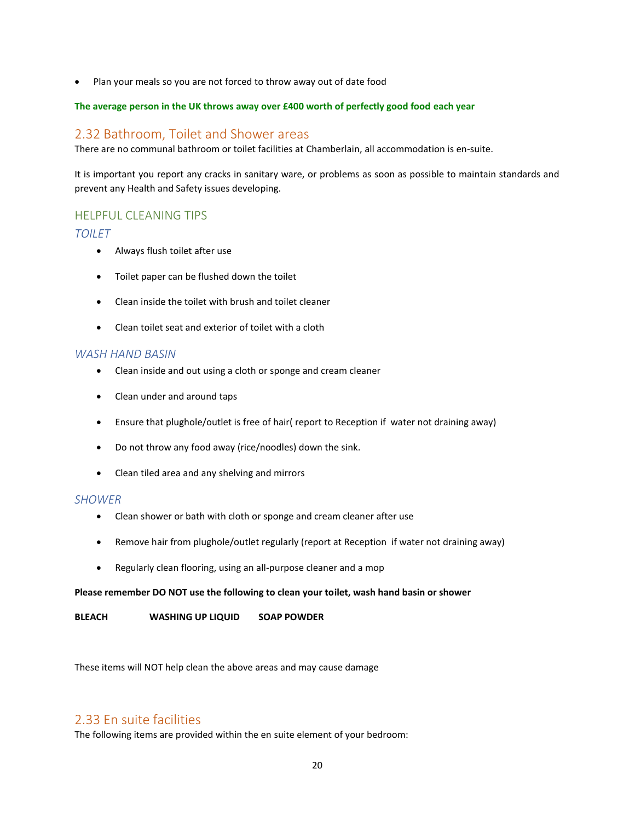• Plan your meals so you are not forced to throw away out of date food

#### **The average person in the UK throws away over £400 worth of perfectly good food each year**

## 2.32 Bathroom, Toilet and Shower areas

There are no communal bathroom or toilet facilities at Chamberlain, all accommodation is en-suite.

It is important you report any cracks in sanitary ware, or problems as soon as possible to maintain standards and prevent any Health and Safety issues developing.

## HELPFUL CLEANING TIPS

### *TOILET*

- Always flush toilet after use
- Toilet paper can be flushed down the toilet
- Clean inside the toilet with brush and toilet cleaner
- Clean toilet seat and exterior of toilet with a cloth

### *WASH HAND BASIN*

- Clean inside and out using a cloth or sponge and cream cleaner
- Clean under and around taps
- Ensure that plughole/outlet is free of hair( report to Reception if water not draining away)
- Do not throw any food away (rice/noodles) down the sink.
- Clean tiled area and any shelving and mirrors

### *SHOWER*

- Clean shower or bath with cloth or sponge and cream cleaner after use
- Remove hair from plughole/outlet regularly (report at Reception if water not draining away)
- Regularly clean flooring, using an all-purpose cleaner and a mop

#### **Please remember DO NOT use the following to clean your toilet, wash hand basin or shower**

**BLEACH WASHING UP LIQUID SOAP POWDER**

These items will NOT help clean the above areas and may cause damage

## 2.33 En suite facilities

The following items are provided within the en suite element of your bedroom: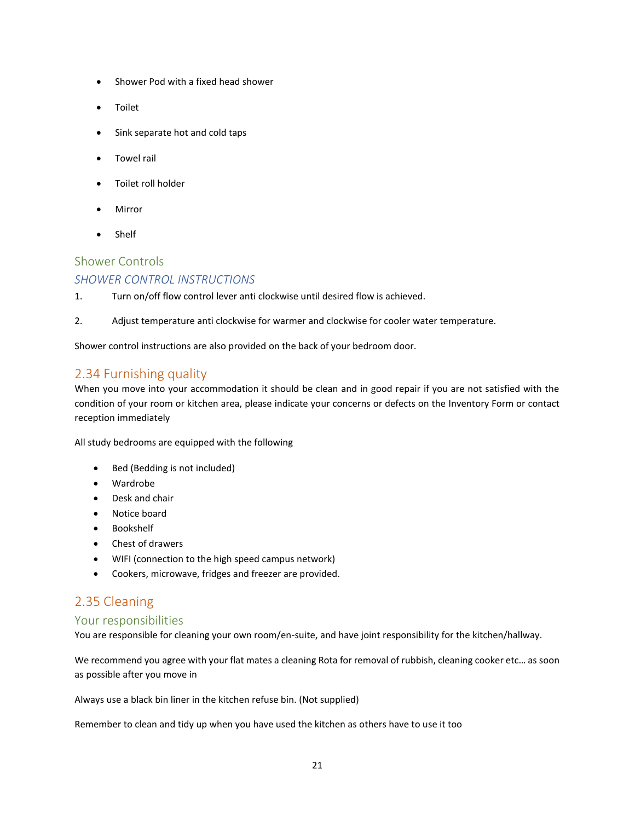- Shower Pod with a fixed head shower
- Toilet
- Sink separate hot and cold taps
- Towel rail
- Toilet roll holder
- Mirror
- Shelf

## Shower Controls

## *SHOWER CONTROL INSTRUCTIONS*

- 1. Turn on/off flow control lever anti clockwise until desired flow is achieved.
- 2. Adjust temperature anti clockwise for warmer and clockwise for cooler water temperature.

Shower control instructions are also provided on the back of your bedroom door.

## 2.34 Furnishing quality

When you move into your accommodation it should be clean and in good repair if you are not satisfied with the condition of your room or kitchen area, please indicate your concerns or defects on the Inventory Form or contact reception immediately

All study bedrooms are equipped with the following

- Bed (Bedding is not included)
- Wardrobe
- Desk and chair
- Notice board
- Bookshelf
- Chest of drawers
- WIFI (connection to the high speed campus network)
- Cookers, microwave, fridges and freezer are provided.

## 2.35 Cleaning

### Your responsibilities

You are responsible for cleaning your own room/en-suite, and have joint responsibility for the kitchen/hallway.

We recommend you agree with your flat mates a cleaning Rota for removal of rubbish, cleaning cooker etc… as soon as possible after you move in

Always use a black bin liner in the kitchen refuse bin. (Not supplied)

Remember to clean and tidy up when you have used the kitchen as others have to use it too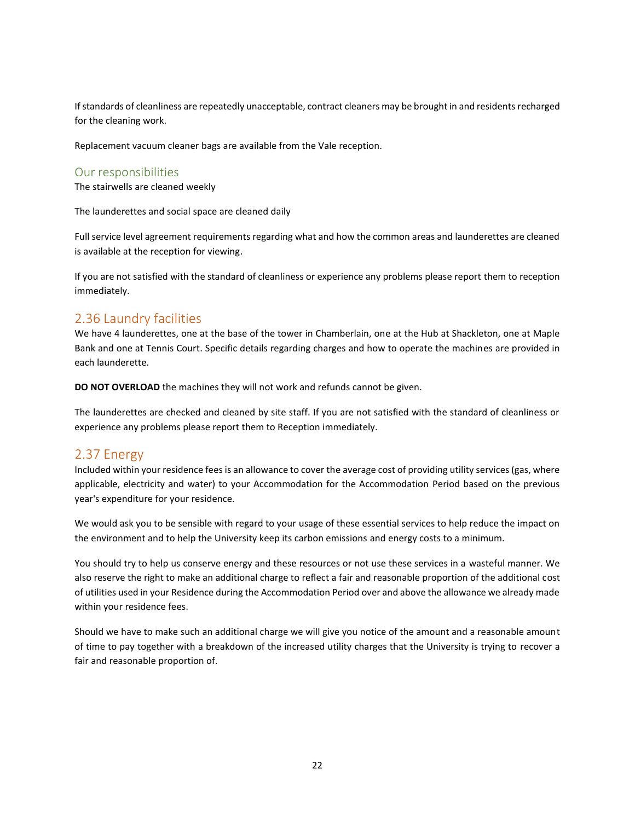If standards of cleanliness are repeatedly unacceptable, contract cleaners may be brought in and residents recharged for the cleaning work.

Replacement vacuum cleaner bags are available from the Vale reception.

### Our responsibilities

The stairwells are cleaned weekly

The launderettes and social space are cleaned daily

Full service level agreement requirements regarding what and how the common areas and launderettes are cleaned is available at the reception for viewing.

If you are not satisfied with the standard of cleanliness or experience any problems please report them to reception immediately.

## 2.36 Laundry facilities

We have 4 launderettes, one at the base of the tower in Chamberlain, one at the Hub at Shackleton, one at Maple Bank and one at Tennis Court. Specific details regarding charges and how to operate the machines are provided in each launderette.

**DO NOT OVERLOAD** the machines they will not work and refunds cannot be given.

The launderettes are checked and cleaned by site staff. If you are not satisfied with the standard of cleanliness or experience any problems please report them to Reception immediately.

## 2.37 Energy

Included within your residence fees is an allowance to cover the average cost of providing utility services (gas, where applicable, electricity and water) to your Accommodation for the Accommodation Period based on the previous year's expenditure for your residence.

We would ask you to be sensible with regard to your usage of these essential services to help reduce the impact on the environment and to help the University keep its carbon emissions and energy costs to a minimum.

You should try to help us conserve energy and these resources or not use these services in a wasteful manner. We also reserve the right to make an additional charge to reflect a fair and reasonable proportion of the additional cost of utilities used in your Residence during the Accommodation Period over and above the allowance we already made within your residence fees.

Should we have to make such an additional charge we will give you notice of the amount and a reasonable amount of time to pay together with a breakdown of the increased utility charges that the University is trying to recover a fair and reasonable proportion of.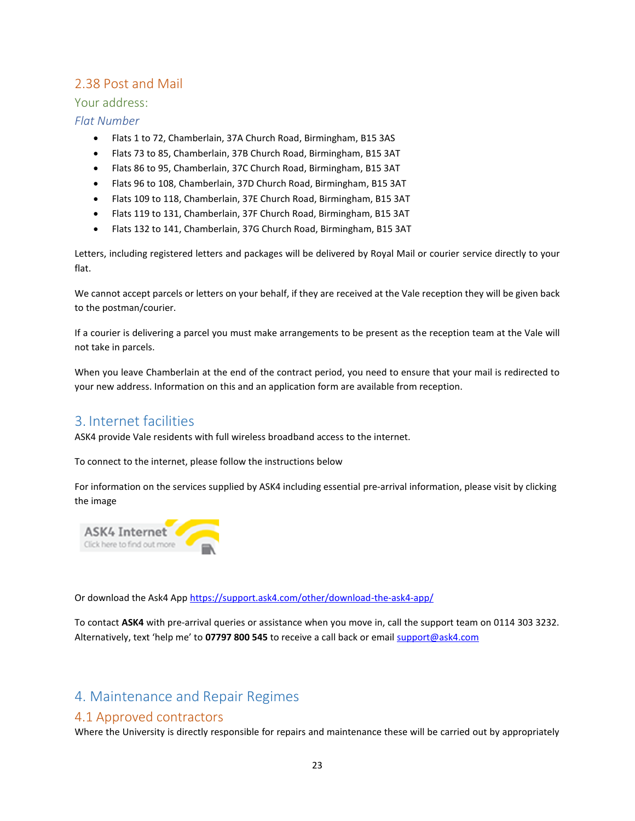## 2.38 Post and Mail

## Your address:

## *Flat Number*

- Flats 1 to 72, Chamberlain, 37A Church Road, Birmingham, B15 3AS
- Flats 73 to 85, Chamberlain, 37B Church Road, Birmingham, B15 3AT
- Flats 86 to 95, Chamberlain, 37C Church Road, Birmingham, B15 3AT
- Flats 96 to 108, Chamberlain, 37D Church Road, Birmingham, B15 3AT
- Flats 109 to 118, Chamberlain, 37E Church Road, Birmingham, B15 3AT
- Flats 119 to 131, Chamberlain, 37F Church Road, Birmingham, B15 3AT
- Flats 132 to 141, Chamberlain, 37G Church Road, Birmingham, B15 3AT

Letters, including registered letters and packages will be delivered by Royal Mail or courier service directly to your flat.

We cannot accept parcels or letters on your behalf, if they are received at the Vale reception they will be given back to the postman/courier.

If a courier is delivering a parcel you must make arrangements to be present as the reception team at the Vale will not take in parcels.

When you leave Chamberlain at the end of the contract period, you need to ensure that your mail is redirected to your new address. Information on this and an application form are available from reception.

## <span id="page-22-0"></span>3. Internet facilities

ASK4 provide Vale residents with full wireless broadband access to the internet.

To connect to the internet, please follow the instructions below

For information on the services supplied by ASK4 including essential pre-arrival information, please visit by clicking the image



Or download the Ask4 App<https://support.ask4.com/other/download-the-ask4-app/>

To contact **ASK4** with pre-arrival queries or assistance when you move in, call the support team on 0114 303 3232. Alternatively, text 'help me' to 07797 800 545 to receive a call back or email **support@ask4.com** 

## <span id="page-22-1"></span>4. Maintenance and Repair Regimes

## 4.1 Approved contractors

Where the University is directly responsible for repairs and maintenance these will be carried out by appropriately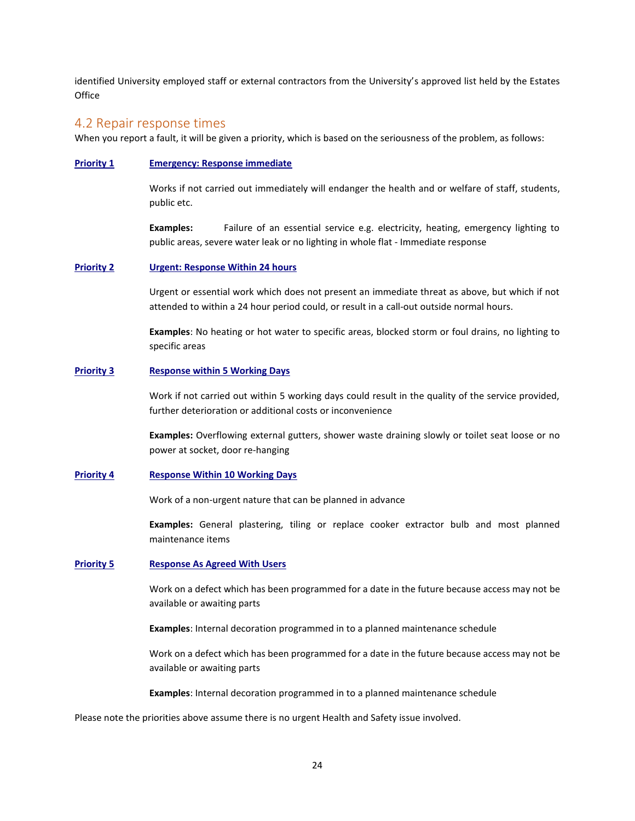identified University employed staff or external contractors from the University's approved list held by the Estates **Office** 

#### 4.2 Repair response times

When you report a fault, it will be given a priority, which is based on the seriousness of the problem, as follows:

#### **Priority 1 Emergency: Response immediate**

Works if not carried out immediately will endanger the health and or welfare of staff, students, public etc.

**Examples:** Failure of an essential service e.g. electricity, heating, emergency lighting to public areas, severe water leak or no lighting in whole flat - Immediate response

#### **Priority 2 Urgent: Response Within 24 hours**

Urgent or essential work which does not present an immediate threat as above, but which if not attended to within a 24 hour period could, or result in a call-out outside normal hours.

**Examples**: No heating or hot water to specific areas, blocked storm or foul drains, no lighting to specific areas

#### **Priority 3 Response within 5 Working Days**

Work if not carried out within 5 working days could result in the quality of the service provided, further deterioration or additional costs or inconvenience

**Examples:** Overflowing external gutters, shower waste draining slowly or toilet seat loose or no power at socket, door re-hanging

#### **Priority 4 Response Within 10 Working Days**

Work of a non-urgent nature that can be planned in advance

**Examples:** General plastering, tiling or replace cooker extractor bulb and most planned maintenance items

#### **Priority 5 Response As Agreed With Users**

Work on a defect which has been programmed for a date in the future because access may not be available or awaiting parts

**Examples**: Internal decoration programmed in to a planned maintenance schedule

Work on a defect which has been programmed for a date in the future because access may not be available or awaiting parts

**Examples**: Internal decoration programmed in to a planned maintenance schedule

Please note the priorities above assume there is no urgent Health and Safety issue involved.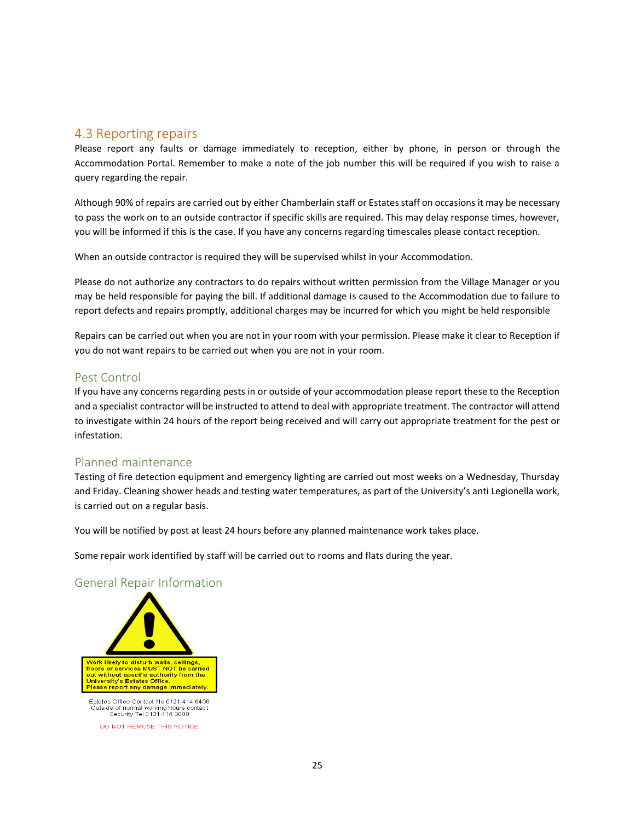## 4.3 Reporting repairs

Please report any faults or damage immediately to reception, either by phone, in person or through the Accommodation Portal. Remember to make a note of the job number this will be required if you wish to raise a query regarding the repair.

Although 90% of repairs are carried out by either Chamberlain staff or Estates staff on occasions it may be necessary to pass the work on to an outside contractor if specific skills are required. This may delay response times, however, you will be informed if this is the case. If you have any concerns regarding timescales please contact reception.

When an outside contractor is required they will be supervised whilst in your Accommodation.

Please do not authorize any contractors to do repairs without written permission from the Village Manager or you may be held responsible for paying the bill. If additional damage is caused to the Accommodation due to failure to report defects and repairs promptly, additional charges may be incurred for which you might be held responsible

Repairs can be carried out when you are not in your room with your permission. Please make it clear to Reception if you do not want repairs to be carried out when you are not in your room.

### Pest Control

If you have any concerns regarding pests in or outside of your accommodation please report these to the Reception and a specialist contractor will be instructed to attend to deal with appropriate treatment. The contractor will attend to investigate within 24 hours of the report being received and will carry out appropriate treatment for the pest or infestation.

### Planned maintenance

Testing of fire detection equipment and emergency lighting are carried out most weeks on a Wednesday, Thursday and Friday. Cleaning shower heads and testing water temperatures, as part of the University's anti Legionella work, is carried out on a regular basis.

You will be notified by post at least 24 hours before any planned maintenance work takes place.

Some repair work identified by staff will be carried out to rooms and flats during the year.

### General Repair Information



DO NOT REMOVE THIS NOTICE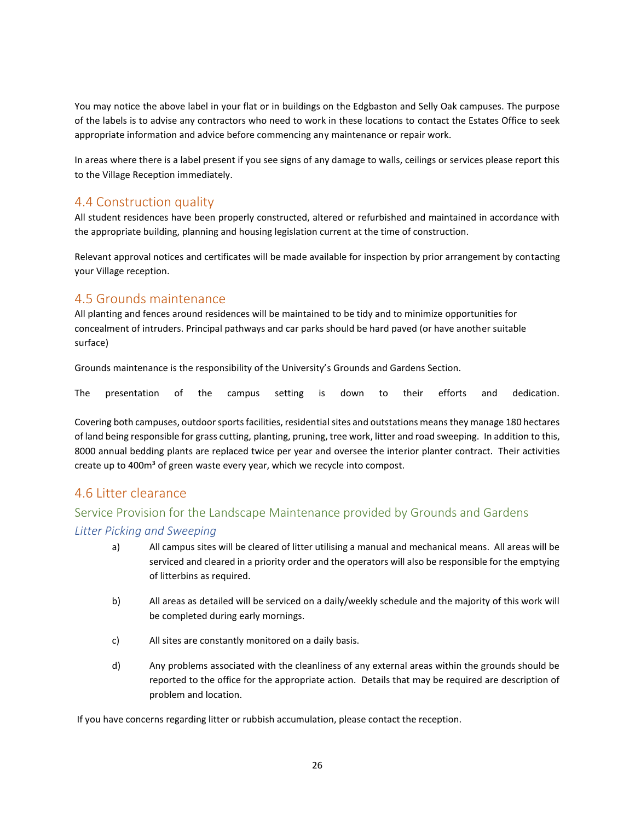You may notice the above label in your flat or in buildings on the Edgbaston and Selly Oak campuses. The purpose of the labels is to advise any contractors who need to work in these locations to contact the Estates Office to seek appropriate information and advice before commencing any maintenance or repair work.

In areas where there is a label present if you see signs of any damage to walls, ceilings or services please report this to the Village Reception immediately.

## 4.4 Construction quality

All student residences have been properly constructed, altered or refurbished and maintained in accordance with the appropriate building, planning and housing legislation current at the time of construction.

Relevant approval notices and certificates will be made available for inspection by prior arrangement by contacting your Village reception.

## 4.5 Grounds maintenance

All planting and fences around residences will be maintained to be tidy and to minimize opportunities for concealment of intruders. Principal pathways and car parks should be hard paved (or have another suitable surface)

Grounds maintenance is the responsibility of the University's Grounds and Gardens Section.

The presentation of the campus setting is down to their efforts and dedication.

Covering both campuses, outdoor sports facilities, residential sites and outstations means they manage 180 hectares of land being responsible for grass cutting, planting, pruning, tree work, litter and road sweeping. In addition to this, 8000 annual bedding plants are replaced twice per year and oversee the interior planter contract. Their activities create up to 400m<sup>3</sup> of green waste every year, which we recycle into compost.

## 4.6 Litter clearance

## Service Provision for the Landscape Maintenance provided by Grounds and Gardens *Litter Picking and Sweeping*

- a) All campus sites will be cleared of litter utilising a manual and mechanical means. All areas will be serviced and cleared in a priority order and the operators will also be responsible for the emptying of litterbins as required.
- b) All areas as detailed will be serviced on a daily/weekly schedule and the majority of this work will be completed during early mornings.
- c) All sites are constantly monitored on a daily basis.
- d) Any problems associated with the cleanliness of any external areas within the grounds should be reported to the office for the appropriate action. Details that may be required are description of problem and location.

If you have concerns regarding litter or rubbish accumulation, please contact the reception.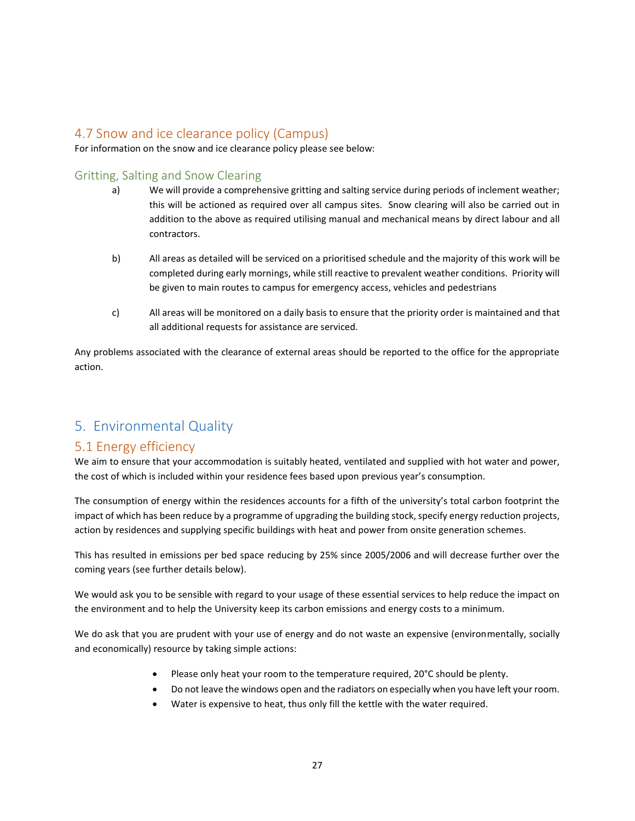## 4.7 Snow and ice clearance policy (Campus)

For information on the snow and ice clearance policy please see below:

## Gritting, Salting and Snow Clearing

- a) We will provide a comprehensive gritting and salting service during periods of inclement weather; this will be actioned as required over all campus sites. Snow clearing will also be carried out in addition to the above as required utilising manual and mechanical means by direct labour and all contractors.
- b) All areas as detailed will be serviced on a prioritised schedule and the majority of this work will be completed during early mornings, while still reactive to prevalent weather conditions. Priority will be given to main routes to campus for emergency access, vehicles and pedestrians
- c) All areas will be monitored on a daily basis to ensure that the priority order is maintained and that all additional requests for assistance are serviced.

Any problems associated with the clearance of external areas should be reported to the office for the appropriate action.

## <span id="page-26-0"></span>5. Environmental Quality

## 5.1 Energy efficiency

We aim to ensure that your accommodation is suitably heated, ventilated and supplied with hot water and power, the cost of which is included within your residence fees based upon previous year's consumption.

The consumption of energy within the residences accounts for a fifth of the university's total carbon footprint the impact of which has been reduce by a programme of upgrading the building stock, specify energy reduction projects, action by residences and supplying specific buildings with heat and power from onsite generation schemes.

This has resulted in emissions per bed space reducing by 25% since 2005/2006 and will decrease further over the coming years (see further details below).

We would ask you to be sensible with regard to your usage of these essential services to help reduce the impact on the environment and to help the University keep its carbon emissions and energy costs to a minimum.

We do ask that you are prudent with your use of energy and do not waste an expensive (environmentally, socially and economically) resource by taking simple actions:

- Please only heat your room to the temperature required, 20°C should be plenty.
- Do not leave the windows open and the radiators on especially when you have left your room.
- Water is expensive to heat, thus only fill the kettle with the water required.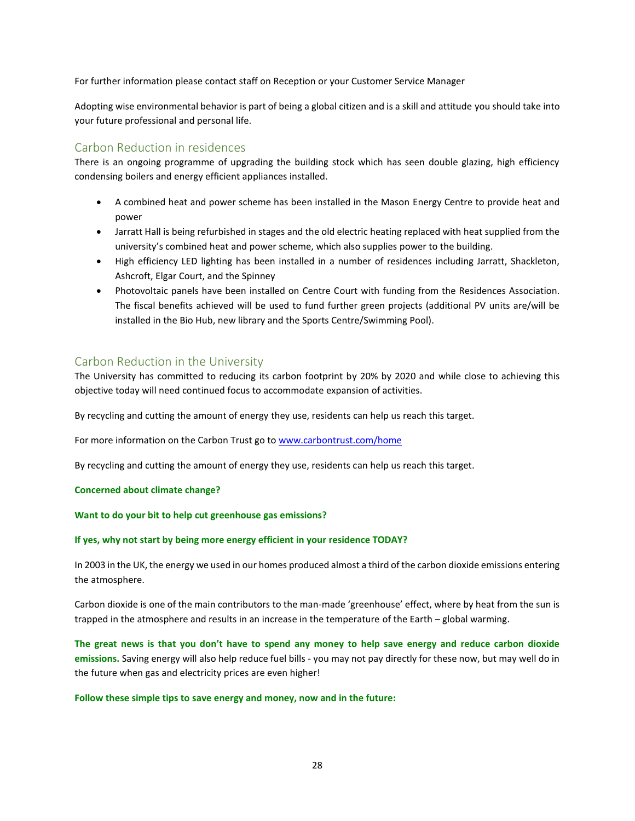For further information please contact staff on Reception or your Customer Service Manager

Adopting wise environmental behavior is part of being a global citizen and is a skill and attitude you should take into your future professional and personal life.

## Carbon Reduction in residences

There is an ongoing programme of upgrading the building stock which has seen double glazing, high efficiency condensing boilers and energy efficient appliances installed.

- A combined heat and power scheme has been installed in the Mason Energy Centre to provide heat and power
- Jarratt Hall is being refurbished in stages and the old electric heating replaced with heat supplied from the university's combined heat and power scheme, which also supplies power to the building.
- High efficiency LED lighting has been installed in a number of residences including Jarratt, Shackleton, Ashcroft, Elgar Court, and the Spinney
- Photovoltaic panels have been installed on Centre Court with funding from the Residences Association. The fiscal benefits achieved will be used to fund further green projects (additional PV units are/will be installed in the Bio Hub, new library and the Sports Centre/Swimming Pool).

## Carbon Reduction in the University

The University has committed to reducing its carbon footprint by 20% by 2020 and while close to achieving this objective today will need continued focus to accommodate expansion of activities.

By recycling and cutting the amount of energy they use, residents can help us reach this target.

For more information on the Carbon Trust go t[o www.carbontrust.com/home](http://www.carbontrust.com/home)

By recycling and cutting the amount of energy they use, residents can help us reach this target.

### **Concerned about climate change?**

#### **Want to do your bit to help cut greenhouse gas emissions?**

#### **If yes, why not start by being more energy efficient in your residence TODAY?**

In 2003 in the UK, the energy we used in our homes produced almost a third of the carbon dioxide emissions entering the atmosphere.

Carbon dioxide is one of the main contributors to the man-made 'greenhouse' effect, where by heat from the sun is trapped in the atmosphere and results in an increase in the temperature of the Earth – global warming.

**The great news is that you don't have to spend any money to help save energy and reduce carbon dioxide emissions.** Saving energy will also help reduce fuel bills - you may not pay directly for these now, but may well do in the future when gas and electricity prices are even higher!

#### **Follow these simple tips to save energy and money, now and in the future:**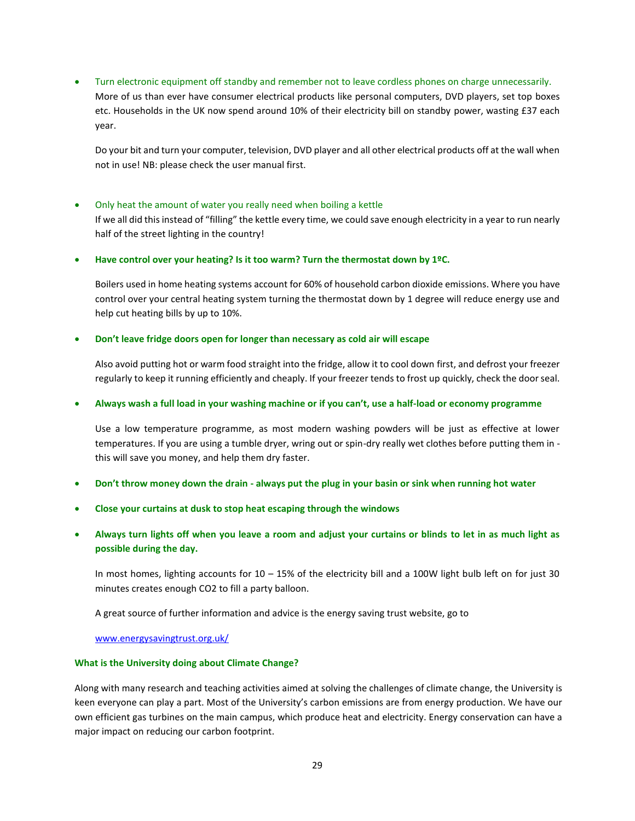• Turn electronic equipment off standby and remember not to leave cordless phones on charge unnecessarily.

More of us than ever have consumer electrical products like personal computers, DVD players, set top boxes etc. Households in the UK now spend around 10% of their electricity bill on standby power, wasting £37 each year.

Do your bit and turn your computer, television, DVD player and all other electrical products off at the wall when not in use! NB: please check the user manual first.

#### • Only heat the amount of water you really need when boiling a kettle

If we all did this instead of "filling" the kettle every time, we could save enough electricity in a year to run nearly half of the street lighting in the country!

• **Have control over your heating? Is it too warm? Turn the thermostat down by 1ºC.** 

Boilers used in home heating systems account for 60% of household carbon dioxide emissions. Where you have control over your central heating system turning the thermostat down by 1 degree will reduce energy use and help cut heating bills by up to 10%.

#### • **Don't leave fridge doors open for longer than necessary as cold air will escape**

Also avoid putting hot or warm food straight into the fridge, allow it to cool down first, and defrost your freezer regularly to keep it running efficiently and cheaply. If your freezer tends to frost up quickly, check the door seal.

#### • **Always wash a full load in your washing machine or if you can't, use a half-load or economy programme**

Use a low temperature programme, as most modern washing powders will be just as effective at lower temperatures. If you are using a tumble dryer, wring out or spin-dry really wet clothes before putting them in this will save you money, and help them dry faster.

- **Don't throw money down the drain - always put the plug in your basin or sink when running hot water**
- **Close your curtains at dusk to stop heat escaping through the windows**
- **Always turn lights off when you leave a room and adjust your curtains or blinds to let in as much light as possible during the day.**

In most homes, lighting accounts for 10 – 15% of the electricity bill and a 100W light bulb left on for just 30 minutes creates enough CO2 to fill a party balloon.

A great source of further information and advice is the energy saving trust website, go to

[www.energysavingtrust.org.uk/](http://www.energysavingtrust.org.uk/)

#### **What is the University doing about Climate Change?**

Along with many research and teaching activities aimed at solving the challenges of climate change, the University is keen everyone can play a part. Most of the University's carbon emissions are from energy production. We have our own efficient gas turbines on the main campus, which produce heat and electricity. Energy conservation can have a major impact on reducing our carbon footprint.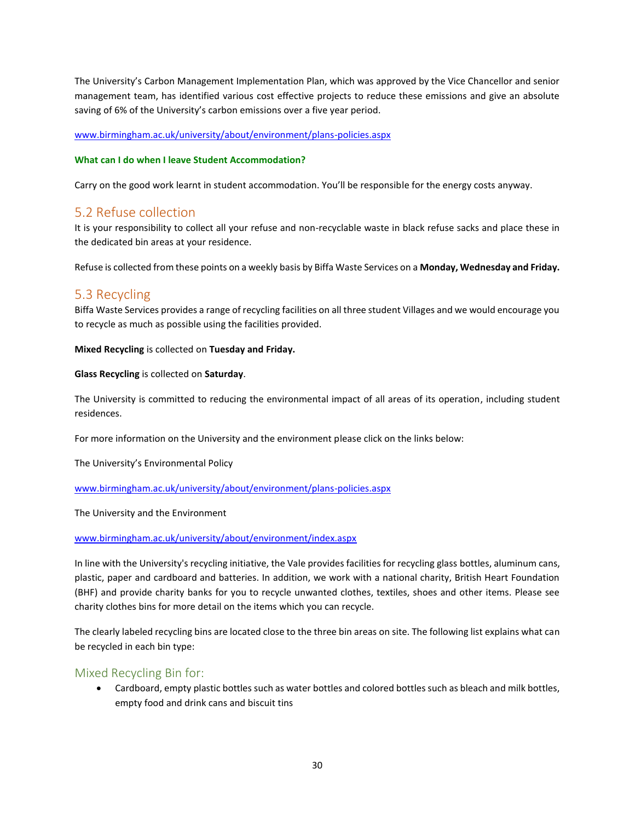The University's Carbon Management Implementation Plan, which was approved by the Vice Chancellor and senior management team, has identified various cost effective projects to reduce these emissions and give an absolute saving of 6% of the University's carbon emissions over a five year period.

#### [www.birmingham.ac.uk/university/about/environment/plans-policies.aspx](http://www.birmingham.ac.uk/university/about/environment/plans-policies.aspx)

#### **What can I do when I leave Student Accommodation?**

Carry on the good work learnt in student accommodation. You'll be responsible for the energy costs anyway.

## 5.2 Refuse collection

It is your responsibility to collect all your refuse and non-recyclable waste in black refuse sacks and place these in the dedicated bin areas at your residence.

Refuse is collected from these points on a weekly basis by Biffa Waste Services on a **Monday, Wednesday and Friday.** 

## 5.3 Recycling

Biffa Waste Services provides a range of recycling facilities on all three student Villages and we would encourage you to recycle as much as possible using the facilities provided.

#### **Mixed Recycling** is collected on **Tuesday and Friday.**

#### **Glass Recycling** is collected on **Saturday**.

The University is committed to reducing the environmental impact of all areas of its operation, including student residences.

For more information on the University and the environment please click on the links below:

The University's Environmental Policy

[www.birmingham.ac.uk/university/about/environment/plans-policies.aspx](http://www.birmingham.ac.uk/university/about/environment/plans-policies.aspx)

The University and the Environment

### [www.birmingham.ac.uk/university/about/environment/index.aspx](http://www.birmingham.ac.uk/university/about/environment/index.aspx)

In line with the University's recycling initiative, the Vale provides facilities for recycling glass bottles, aluminum cans, plastic, paper and cardboard and batteries. In addition, we work with a national charity, British Heart Foundation (BHF) and provide charity banks for you to recycle unwanted clothes, textiles, shoes and other items. Please see charity clothes bins for more detail on the items which you can recycle.

The clearly labeled recycling bins are located close to the three bin areas on site. The following list explains what can be recycled in each bin type:

### Mixed Recycling Bin for:

• Cardboard, empty plastic bottles such as water bottles and colored bottles such as bleach and milk bottles, empty food and drink cans and biscuit tins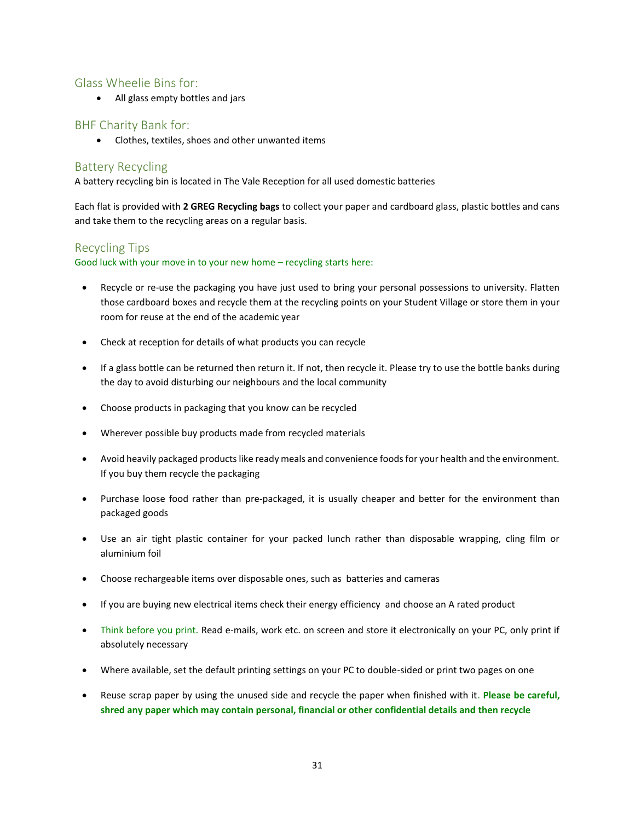## Glass Wheelie Bins for:

• All glass empty bottles and jars

## BHF Charity Bank for:

• Clothes, textiles, shoes and other unwanted items

## Battery Recycling

A battery recycling bin is located in The Vale Reception for all used domestic batteries

Each flat is provided with **2 GREG Recycling bags** to collect your paper and cardboard glass, plastic bottles and cans and take them to the recycling areas on a regular basis.

## Recycling Tips

Good luck with your move in to your new home – recycling starts here:

- Recycle or re-use the packaging you have just used to bring your personal possessions to university. Flatten those cardboard boxes and recycle them at the recycling points on your Student Village or store them in your room for reuse at the end of the academic year
- Check at reception for details of what products you can recycle
- If a glass bottle can be returned then return it. If not, then recycle it. Please try to use the bottle banks during the day to avoid disturbing our neighbours and the local community
- Choose products in packaging that you know can be recycled
- Wherever possible buy products made from recycled materials
- Avoid heavily packaged products like ready meals and convenience foods for your health and the environment. If you buy them recycle the packaging
- Purchase loose food rather than pre-packaged, it is usually cheaper and better for the environment than packaged goods
- Use an air tight plastic container for your packed lunch rather than disposable wrapping, cling film or aluminium foil
- Choose rechargeable items over disposable ones, such as batteries and cameras
- If you are buying new electrical items check their energy efficiency and choose an A rated product
- Think before you print. Read e-mails, work etc. on screen and store it electronically on your PC, only print if absolutely necessary
- Where available, set the default printing settings on your PC to double-sided or print two pages on one
- Reuse scrap paper by using the unused side and recycle the paper when finished with it. **Please be careful, shred any paper which may contain personal, financial or other confidential details and then recycle**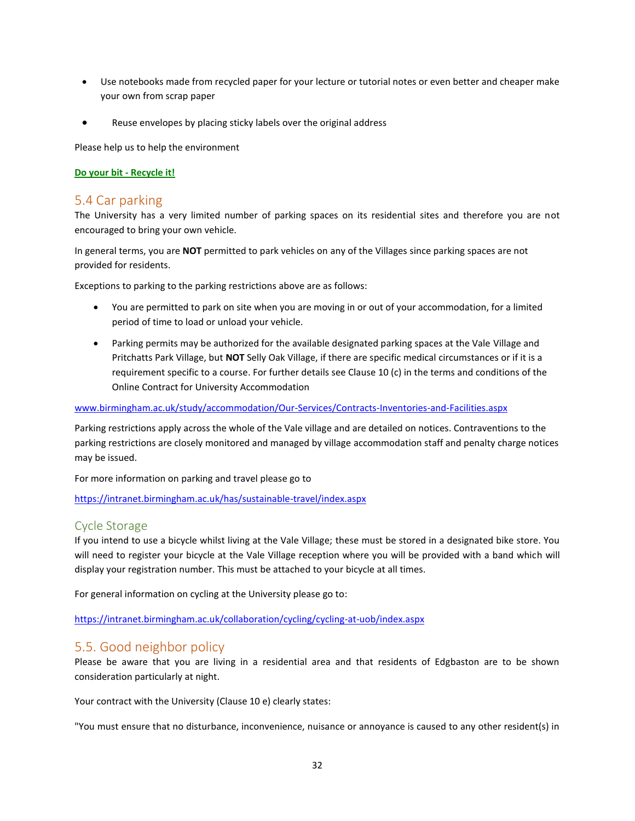- Use notebooks made from recycled paper for your lecture or tutorial notes or even better and cheaper make your own from scrap paper
- Reuse envelopes by placing sticky labels over the original address

Please help us to help the environment

#### **Do your bit - Recycle it!**

## 5.4 Car parking

The University has a very limited number of parking spaces on its residential sites and therefore you are not encouraged to bring your own vehicle.

In general terms, you are **NOT** permitted to park vehicles on any of the Villages since parking spaces are not provided for residents.

Exceptions to parking to the parking restrictions above are as follows:

- You are permitted to park on site when you are moving in or out of your accommodation, for a limited period of time to load or unload your vehicle.
- Parking permits may be authorized for the available designated parking spaces at the Vale Village and Pritchatts Park Village, but **NOT** Selly Oak Village, if there are specific medical circumstances or if it is a requirement specific to a course. For further details see Clause 10 (c) in the terms and conditions of the Online Contract for University Accommodation

[www.birmingham.ac.uk/study/accommodation/Our-Services/Contracts-Inventories-and-Facilities.aspx](http://www.birmingham.ac.uk/study/accommodation/Our-Services/Contracts-Inventories-and-Facilities.aspx)

Parking restrictions apply across the whole of the Vale village and are detailed on notices. Contraventions to the parking restrictions are closely monitored and managed by village accommodation staff and penalty charge notices may be issued.

For more information on parking and travel please go to

<https://intranet.birmingham.ac.uk/has/sustainable-travel/index.aspx>

### Cycle Storage

If you intend to use a bicycle whilst living at the Vale Village; these must be stored in a designated bike store. You will need to register your bicycle at the Vale Village reception where you will be provided with a band which will display your registration number. This must be attached to your bicycle at all times.

For general information on cycling at the University please go to:

<https://intranet.birmingham.ac.uk/collaboration/cycling/cycling-at-uob/index.aspx>

## 5.5. Good neighbor policy

Please be aware that you are living in a residential area and that residents of Edgbaston are to be shown consideration particularly at night.

Your contract with the University (Clause 10 e) clearly states:

"You must ensure that no disturbance, inconvenience, nuisance or annoyance is caused to any other resident(s) in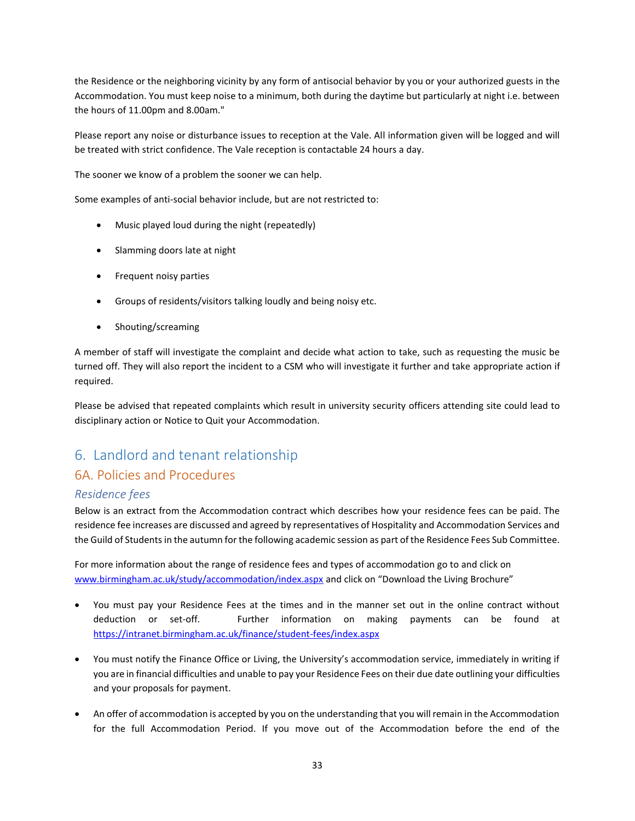the Residence or the neighboring vicinity by any form of antisocial behavior by you or your authorized guests in the Accommodation. You must keep noise to a minimum, both during the daytime but particularly at night i.e. between the hours of 11.00pm and 8.00am."

Please report any noise or disturbance issues to reception at the Vale. All information given will be logged and will be treated with strict confidence. The Vale reception is contactable 24 hours a day.

The sooner we know of a problem the sooner we can help.

Some examples of anti-social behavior include, but are not restricted to:

- Music played loud during the night (repeatedly)
- Slamming doors late at night
- Frequent noisy parties
- Groups of residents/visitors talking loudly and being noisy etc.
- Shouting/screaming

A member of staff will investigate the complaint and decide what action to take, such as requesting the music be turned off. They will also report the incident to a CSM who will investigate it further and take appropriate action if required.

Please be advised that repeated complaints which result in university security officers attending site could lead to disciplinary action or Notice to Quit your Accommodation.

## <span id="page-32-0"></span>6. Landlord and tenant relationship

## 6A. Policies and Procedures

### *Residence fees*

Below is an extract from the Accommodation contract which describes how your residence fees can be paid. The residence fee increases are discussed and agreed by representatives of Hospitality and Accommodation Services and the Guild of Students in the autumn for the following academic session as part of the Residence Fees Sub Committee.

For more information about the range of residence fees and types of accommodation go to and click on [www.birmingham.ac.uk/study/accommodation/index.aspx](http://www.birmingham.ac.uk/study/accommodation/index.aspx) and click on "Download the Living Brochure"

- You must pay your Residence Fees at the times and in the manner set out in the online contract without deduction or set-off. Further information on making payments can be found at <https://intranet.birmingham.ac.uk/finance/student-fees/index.aspx>
- You must notify the Finance Office or Living, the University's accommodation service, immediately in writing if you are in financial difficulties and unable to pay your Residence Fees on their due date outlining your difficulties and your proposals for payment.
- An offer of accommodation is accepted by you on the understanding that you will remain in the Accommodation for the full Accommodation Period. If you move out of the Accommodation before the end of the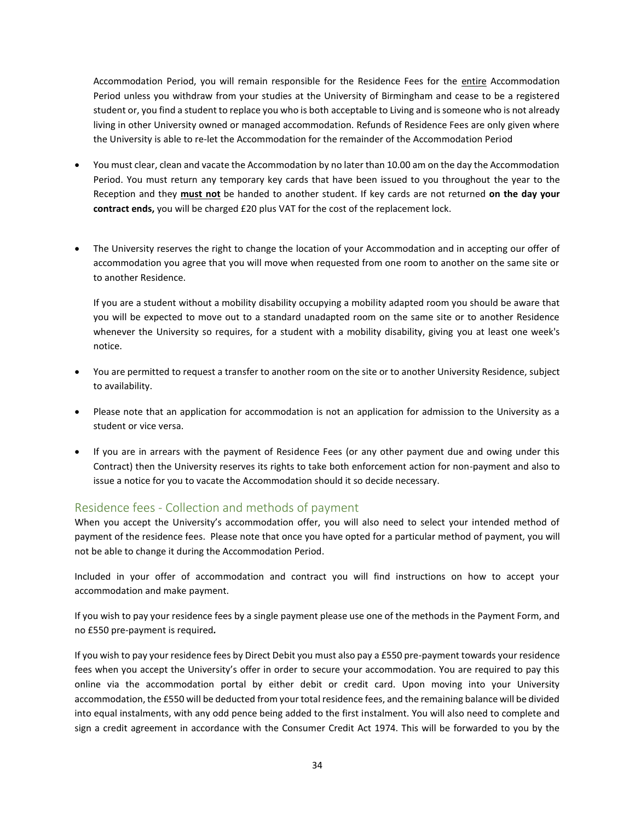Accommodation Period, you will remain responsible for the Residence Fees for the entire Accommodation Period unless you withdraw from your studies at the University of Birmingham and cease to be a registered student or, you find a student to replace you who is both acceptable to Living and is someone who is not already living in other University owned or managed accommodation. Refunds of Residence Fees are only given where the University is able to re-let the Accommodation for the remainder of the Accommodation Period

- You must clear, clean and vacate the Accommodation by no later than 10.00 am on the day the Accommodation Period. You must return any temporary key cards that have been issued to you throughout the year to the Reception and they **must not** be handed to another student. If key cards are not returned **on the day your contract ends,** you will be charged £20 plus VAT for the cost of the replacement lock.
- The University reserves the right to change the location of your Accommodation and in accepting our offer of accommodation you agree that you will move when requested from one room to another on the same site or to another Residence.

If you are a student without a mobility disability occupying a mobility adapted room you should be aware that you will be expected to move out to a standard unadapted room on the same site or to another Residence whenever the University so requires, for a student with a mobility disability, giving you at least one week's notice.

- You are permitted to request a transfer to another room on the site or to another University Residence, subject to availability.
- Please note that an application for accommodation is not an application for admission to the University as a student or vice versa.
- If you are in arrears with the payment of Residence Fees (or any other payment due and owing under this Contract) then the University reserves its rights to take both enforcement action for non-payment and also to issue a notice for you to vacate the Accommodation should it so decide necessary.

## Residence fees - Collection and methods of payment

When you accept the University's accommodation offer, you will also need to select your intended method of payment of the residence fees. Please note that once you have opted for a particular method of payment, you will not be able to change it during the Accommodation Period.

Included in your offer of accommodation and contract you will find instructions on how to accept your accommodation and make payment.

If you wish to pay your residence fees by a single payment please use one of the methods in the Payment Form, and no £550 pre-payment is required*.*

If you wish to pay your residence fees by Direct Debit you must also pay a £550 pre-payment towards your residence fees when you accept the University's offer in order to secure your accommodation. You are required to pay this online via the accommodation portal by either debit or credit card. Upon moving into your University accommodation, the £550 will be deducted from your total residence fees, and the remaining balance will be divided into equal instalments, with any odd pence being added to the first instalment. You will also need to complete and sign a credit agreement in accordance with the Consumer Credit Act 1974. This will be forwarded to you by the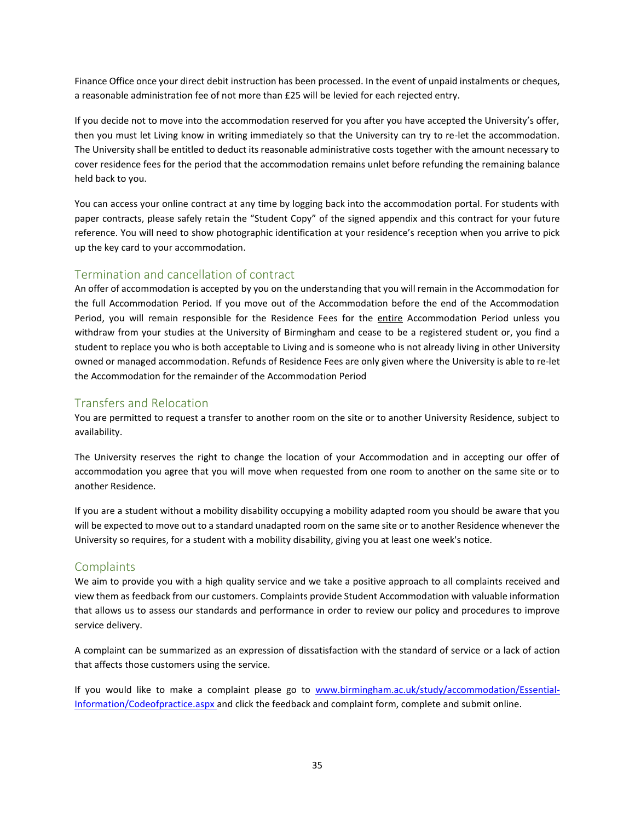Finance Office once your direct debit instruction has been processed. In the event of unpaid instalments or cheques, a reasonable administration fee of not more than £25 will be levied for each rejected entry.

If you decide not to move into the accommodation reserved for you after you have accepted the University's offer, then you must let Living know in writing immediately so that the University can try to re-let the accommodation. The University shall be entitled to deduct its reasonable administrative costs together with the amount necessary to cover residence fees for the period that the accommodation remains unlet before refunding the remaining balance held back to you.

You can access your online contract at any time by logging back into the accommodation portal. For students with paper contracts, please safely retain the "Student Copy" of the signed appendix and this contract for your future reference. You will need to show photographic identification at your residence's reception when you arrive to pick up the key card to your accommodation.

## Termination and cancellation of contract

An offer of accommodation is accepted by you on the understanding that you will remain in the Accommodation for the full Accommodation Period. If you move out of the Accommodation before the end of the Accommodation Period, you will remain responsible for the Residence Fees for the entire Accommodation Period unless you withdraw from your studies at the University of Birmingham and cease to be a registered student or, you find a student to replace you who is both acceptable to Living and is someone who is not already living in other University owned or managed accommodation. Refunds of Residence Fees are only given where the University is able to re-let the Accommodation for the remainder of the Accommodation Period

## Transfers and Relocation

You are permitted to request a transfer to another room on the site or to another University Residence, subject to availability.

The University reserves the right to change the location of your Accommodation and in accepting our offer of accommodation you agree that you will move when requested from one room to another on the same site or to another Residence.

If you are a student without a mobility disability occupying a mobility adapted room you should be aware that you will be expected to move out to a standard unadapted room on the same site or to another Residence whenever the University so requires, for a student with a mobility disability, giving you at least one week's notice.

## **Complaints**

We aim to provide you with a high quality service and we take a positive approach to all complaints received and view them as feedback from our customers. Complaints provide Student Accommodation with valuable information that allows us to assess our standards and performance in order to review our policy and procedures to improve service delivery.

A complaint can be summarized as an expression of dissatisfaction with the standard of service or a lack of action that affects those customers using the service.

If you would like to make a complaint please go to [www.birmingham.ac.uk/study/accommodation/Essential-](http://www.birmingham.ac.uk/study/accommodation/Essential-Information/Codeofpractice.aspx)[Information/Codeofpractice.aspx](http://www.birmingham.ac.uk/study/accommodation/Essential-Information/Codeofpractice.aspx) and click the feedback and complaint form, complete and submit online.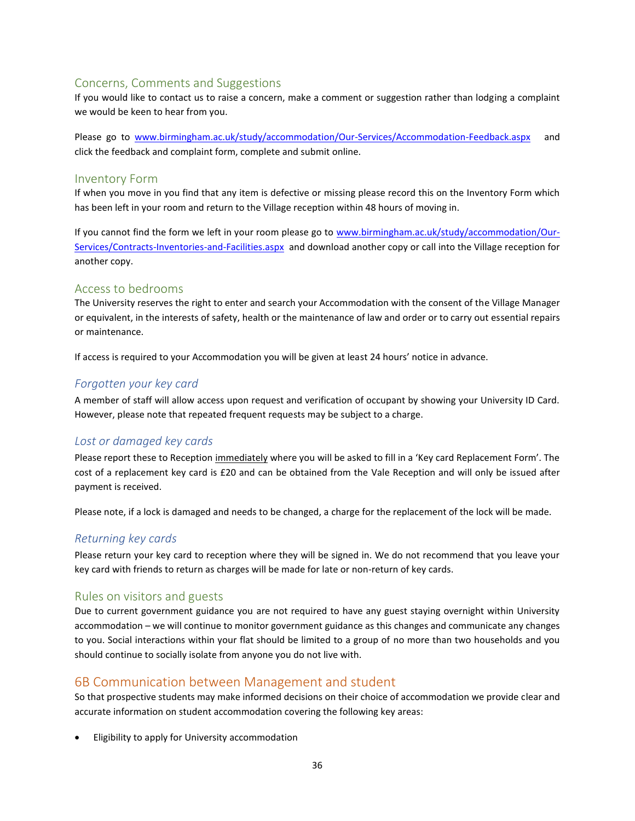## Concerns, Comments and Suggestions

If you would like to contact us to raise a concern, make a comment or suggestion rather than lodging a complaint we would be keen to hear from you.

Please go to [www.birmingham.ac.uk/study/accommodation/Our-Services/Accommodation-Feedback.aspx](http://www.birmingham.ac.uk/study/accommodation/Our-Services/Accommodation-Feedback.aspx) and click the feedback and complaint form, complete and submit online.

### Inventory Form

If when you move in you find that any item is defective or missing please record this on the Inventory Form which has been left in your room and return to the Village reception within 48 hours of moving in.

If you cannot find the form we left in your room please go to [www.birmingham.ac.uk/study/accommodation/Our-](http://www.birmingham.ac.uk/study/accommodation/Our-Services/Contracts-Inventories-and-Facilities.aspx)[Services/Contracts-Inventories-and-Facilities.aspx](http://www.birmingham.ac.uk/study/accommodation/Our-Services/Contracts-Inventories-and-Facilities.aspx) and download another copy or call into the Village reception for another copy.

## Access to bedrooms

The University reserves the right to enter and search your Accommodation with the consent of the Village Manager or equivalent, in the interests of safety, health or the maintenance of law and order or to carry out essential repairs or maintenance.

If access is required to your Accommodation you will be given at least 24 hours' notice in advance.

## *Forgotten your key card*

A member of staff will allow access upon request and verification of occupant by showing your University ID Card. However, please note that repeated frequent requests may be subject to a charge.

## *Lost or damaged key cards*

Please report these to Reception immediately where you will be asked to fill in a 'Key card Replacement Form'. The cost of a replacement key card is £20 and can be obtained from the Vale Reception and will only be issued after payment is received.

Please note, if a lock is damaged and needs to be changed, a charge for the replacement of the lock will be made.

## *Returning key cards*

Please return your key card to reception where they will be signed in. We do not recommend that you leave your key card with friends to return as charges will be made for late or non-return of key cards.

## Rules on visitors and guests

Due to current government guidance you are not required to have any guest staying overnight within University accommodation – we will continue to monitor government guidance as this changes and communicate any changes to you. Social interactions within your flat should be limited to a group of no more than two households and you should continue to socially isolate from anyone you do not live with.

## 6B Communication between Management and student

So that prospective students may make informed decisions on their choice of accommodation we provide clear and accurate information on student accommodation covering the following key areas:

• Eligibility to apply for University accommodation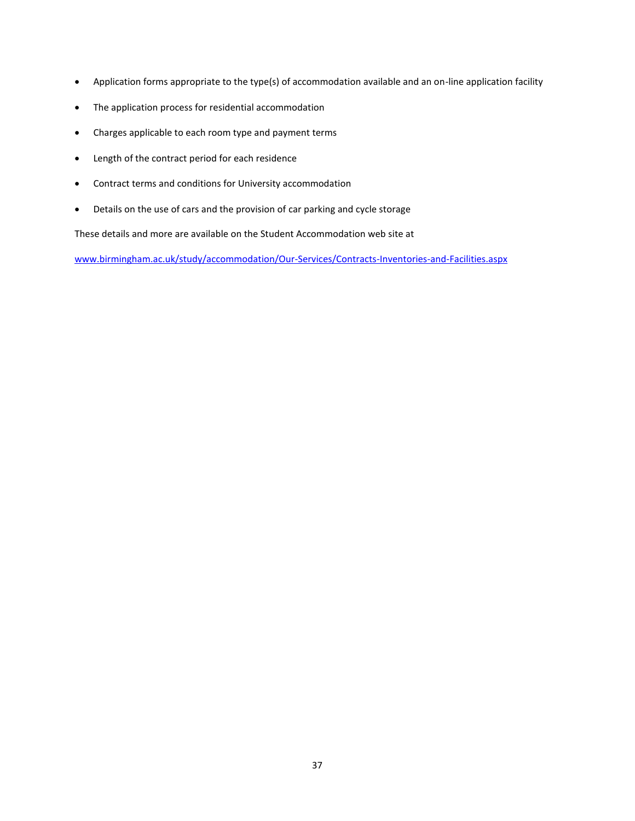- Application forms appropriate to the type(s) of accommodation available and an on-line application facility
- The application process for residential accommodation
- Charges applicable to each room type and payment terms
- Length of the contract period for each residence
- Contract terms and conditions for University accommodation
- Details on the use of cars and the provision of car parking and cycle storage

These details and more are available on the Student Accommodation web site at

[www.birmingham.ac.uk/study/accommodation/Our-Services/Contracts-Inventories-and-Facilities.aspx](http://www.birmingham.ac.uk/study/accommodation/Our-Services/Contracts-Inventories-and-Facilities.aspx)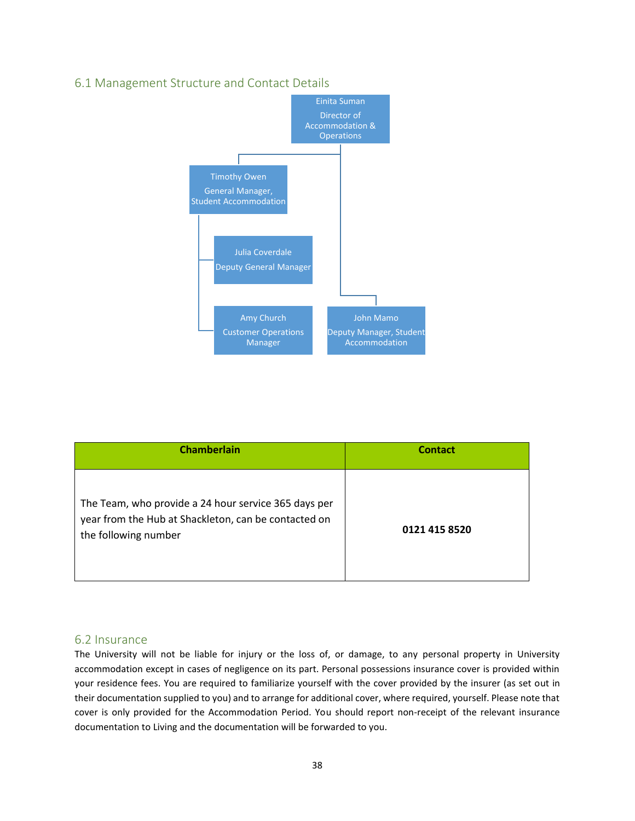

## 6.1 Management Structure and Contact Details

| <b>Chamberlain</b>                                                                                                                   | <b>Contact</b> |
|--------------------------------------------------------------------------------------------------------------------------------------|----------------|
| The Team, who provide a 24 hour service 365 days per<br>year from the Hub at Shackleton, can be contacted on<br>the following number | 0121 415 8520  |

### 6.2 Insurance

The University will not be liable for injury or the loss of, or damage, to any personal property in University accommodation except in cases of negligence on its part. Personal possessions insurance cover is provided within your residence fees. You are required to familiarize yourself with the cover provided by the insurer (as set out in their documentation supplied to you) and to arrange for additional cover, where required, yourself. Please note that cover is only provided for the Accommodation Period. You should report non-receipt of the relevant insurance documentation to Living and the documentation will be forwarded to you.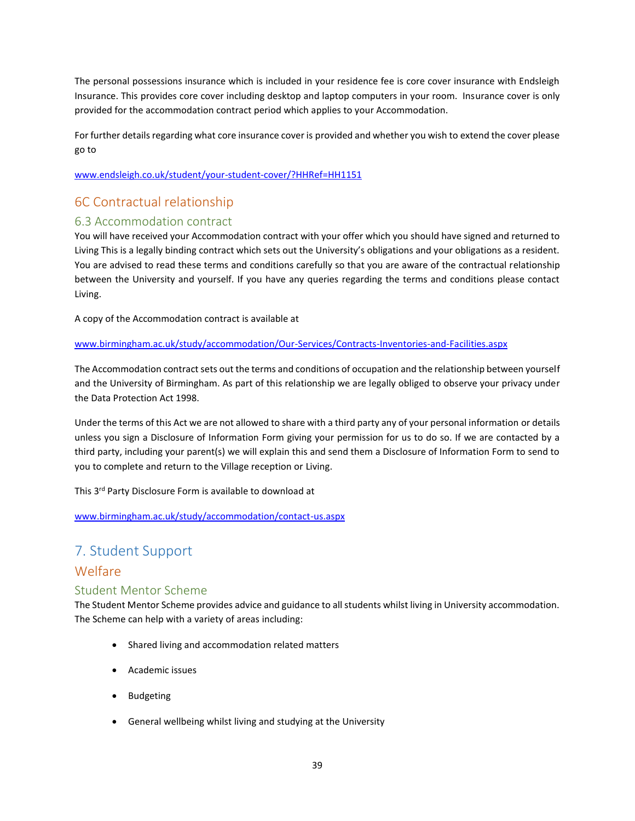The personal possessions insurance which is included in your residence fee is core cover insurance with Endsleigh Insurance. This provides core cover including desktop and laptop computers in your room. Insurance cover is only provided for the accommodation contract period which applies to your Accommodation.

For further details regarding what core insurance cover is provided and whether you wish to extend the cover please go to

[www.endsleigh.co.uk/student/your-student-cover/?HHRef=HH1151](http://www.endsleigh.co.uk/student/your-student-cover/?HHRef=HH1151)

## 6C Contractual relationship

## 6.3 Accommodation contract

You will have received your Accommodation contract with your offer which you should have signed and returned to Living This is a legally binding contract which sets out the University's obligations and your obligations as a resident. You are advised to read these terms and conditions carefully so that you are aware of the contractual relationship between the University and yourself. If you have any queries regarding the terms and conditions please contact Living.

A copy of the Accommodation contract is available at

### [www.birmingham.ac.uk/study/accommodation/Our-Services/Contracts-Inventories-and-Facilities.aspx](http://www.birmingham.ac.uk/study/accommodation/Our-Services/Contracts-Inventories-and-Facilities.aspx)

The Accommodation contract sets out the terms and conditions of occupation and the relationship between yourself and the University of Birmingham. As part of this relationship we are legally obliged to observe your privacy under the Data Protection Act 1998.

Under the terms of this Act we are not allowed to share with a third party any of your personal information or details unless you sign a Disclosure of Information Form giving your permission for us to do so. If we are contacted by a third party, including your parent(s) we will explain this and send them a Disclosure of Information Form to send to you to complete and return to the Village reception or Living.

This 3rd Party Disclosure Form is available to download at

[www.birmingham.ac.uk/study/accommodation/contact-us.aspx](http://www.birmingham.ac.uk/study/accommodation/contact-us.aspx)

## 7. Student Support

## Welfare

## Student Mentor Scheme

The Student Mentor Scheme provides advice and guidance to all students whilst living in University accommodation. The Scheme can help with a variety of areas including:

- Shared living and accommodation related matters
- Academic issues
- Budgeting
- General wellbeing whilst living and studying at the University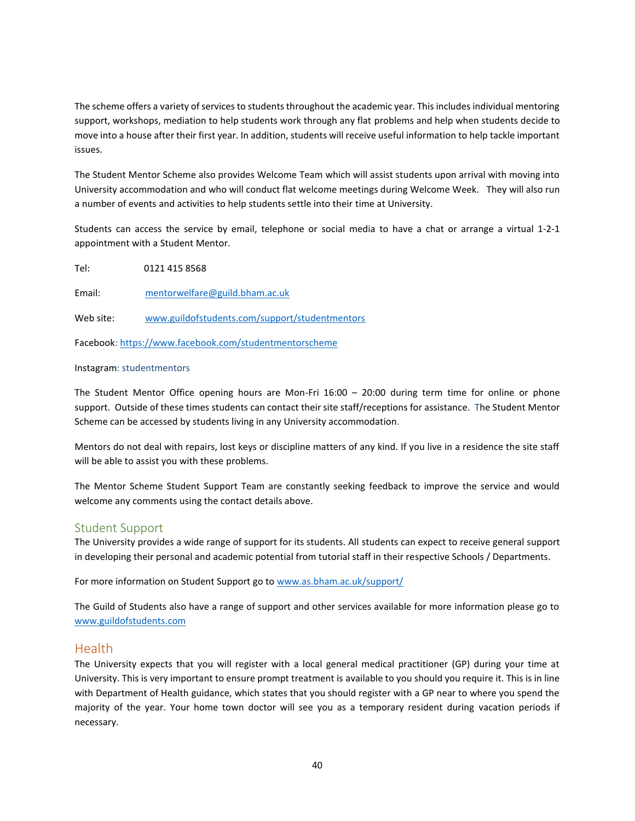The scheme offers a variety of services to students throughout the academic year. This includes individual mentoring support, workshops, mediation to help students work through any flat problems and help when students decide to move into a house after their first year. In addition, students will receive useful information to help tackle important issues.

The Student Mentor Scheme also provides Welcome Team which will assist students upon arrival with moving into University accommodation and who will conduct flat welcome meetings during Welcome Week. They will also run a number of events and activities to help students settle into their time at University.

Students can access the service by email, telephone or social media to have a chat or arrange a virtual 1-2-1 appointment with a Student Mentor.

Tel: 0121 415 8568

Email: [mentorwelfare@guild.bham.ac.uk](mailto:mentorwelfare@guild.bham.ac.uk)

Web site: [www.guildofstudents.com/support/studentmentors](http://www.guildofstudents.com/support/studentmentors)

Facebook:<https://www.facebook.com/studentmentorscheme>

#### Instagram: studentmentors

The Student Mentor Office opening hours are Mon-Fri 16:00 – 20:00 during term time for online or phone support. Outside of these times students can contact their site staff/receptions for assistance. The Student Mentor Scheme can be accessed by students living in any University accommodation.

Mentors do not deal with repairs, lost keys or discipline matters of any kind. If you live in a residence the site staff will be able to assist you with these problems.

The Mentor Scheme Student Support Team are constantly seeking feedback to improve the service and would welcome any comments using the contact details above.

### Student Support

The University provides a wide range of support for its students. All students can expect to receive general support in developing their personal and academic potential from tutorial staff in their respective Schools / Departments.

For more information on Student Support go to [www.as.bham.ac.uk/support/](http://www.as.bham.ac.uk/support/) 

The Guild of Students also have a range of support and other services available for more information please go to [www.guildofstudents.com](http://www.guildofstudents.com/)

### Health

The University expects that you will register with a local general medical practitioner (GP) during your time at University. This is very important to ensure prompt treatment is available to you should you require it. This is in line with Department of Health guidance, which states that you should register with a GP near to where you spend the majority of the year. Your home town doctor will see you as a temporary resident during vacation periods if necessary.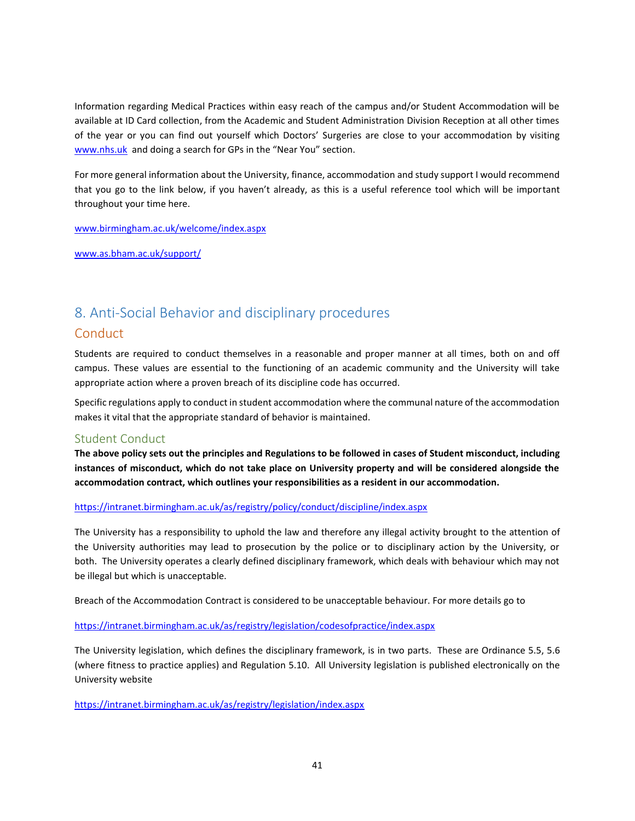Information regarding Medical Practices within easy reach of the campus and/or Student Accommodation will be available at ID Card collection, from the Academic and Student Administration Division Reception at all other times of the year or you can find out yourself which Doctors' Surgeries are close to your accommodation by visiting [www.nhs.uk](http://www.nhs.uk/) and doing a search for GPs in the "Near You" section.

For more general information about the University, finance, accommodation and study support I would recommend that you go to the link below, if you haven't already, as this is a useful reference tool which will be important throughout your time here.

[www.birmingham.ac.uk/welcome/index.aspx](http://www.birmingham.ac.uk/welcome/index.aspx)

[www.as.bham.ac.uk/support/](http://www.as.bham.ac.uk/support/)

## <span id="page-40-0"></span>8. Anti-Social Behavior and disciplinary procedures

## **Conduct**

Students are required to conduct themselves in a reasonable and proper manner at all times, both on and off campus. These values are essential to the functioning of an academic community and the University will take appropriate action where a proven breach of its discipline code has occurred.

Specific regulations apply to conduct in student accommodation where the communal nature of the accommodation makes it vital that the appropriate standard of behavior is maintained.

### Student Conduct

**The above policy sets out the principles and Regulations to be followed in cases of Student misconduct, including instances of misconduct, which do not take place on University property and will be considered alongside the accommodation contract, which outlines your responsibilities as a resident in our accommodation.** 

### <https://intranet.birmingham.ac.uk/as/registry/policy/conduct/discipline/index.aspx>

The University has a responsibility to uphold the law and therefore any illegal activity brought to the attention of the University authorities may lead to prosecution by the police or to disciplinary action by the University, or both. The University operates a clearly defined disciplinary framework, which deals with behaviour which may not be illegal but which is unacceptable.

Breach of the Accommodation Contract is considered to be unacceptable behaviour. For more details go to

### <https://intranet.birmingham.ac.uk/as/registry/legislation/codesofpractice/index.aspx>

The University legislation, which defines the disciplinary framework, is in two parts. These are Ordinance 5.5, 5.6 (where fitness to practice applies) and Regulation 5.10. All University legislation is published electronically on the University website

<https://intranet.birmingham.ac.uk/as/registry/legislation/index.aspx>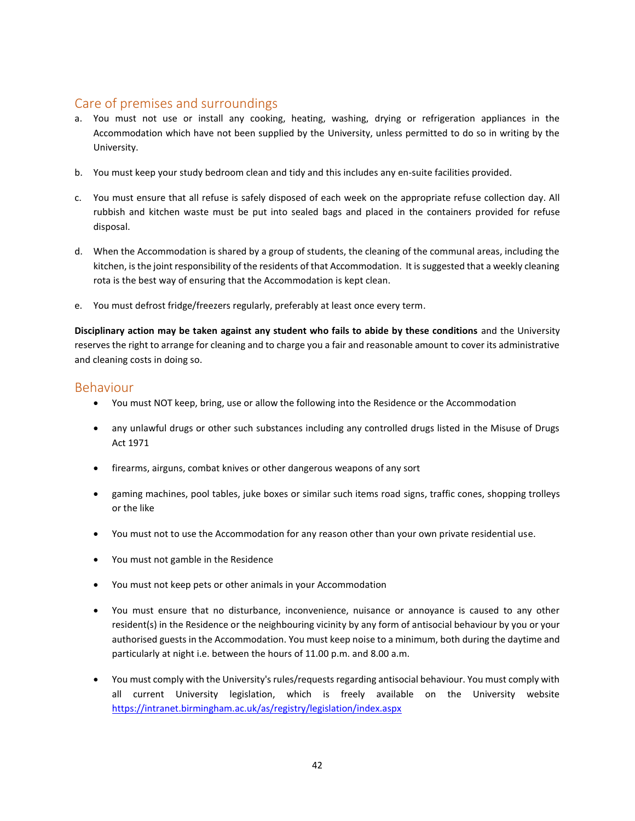## Care of premises and surroundings

- a. You must not use or install any cooking, heating, washing, drying or refrigeration appliances in the Accommodation which have not been supplied by the University, unless permitted to do so in writing by the University.
- b. You must keep your study bedroom clean and tidy and this includes any en-suite facilities provided.
- c. You must ensure that all refuse is safely disposed of each week on the appropriate refuse collection day. All rubbish and kitchen waste must be put into sealed bags and placed in the containers provided for refuse disposal.
- d. When the Accommodation is shared by a group of students, the cleaning of the communal areas, including the kitchen, is the joint responsibility of the residents of that Accommodation. It is suggested that a weekly cleaning rota is the best way of ensuring that the Accommodation is kept clean.
- e. You must defrost fridge/freezers regularly, preferably at least once every term.

**Disciplinary action may be taken against any student who fails to abide by these conditions** and the University reserves the right to arrange for cleaning and to charge you a fair and reasonable amount to cover its administrative and cleaning costs in doing so.

## Behaviour

- You must NOT keep, bring, use or allow the following into the Residence or the Accommodation
- any unlawful drugs or other such substances including any controlled drugs listed in the Misuse of Drugs Act 1971
- firearms, airguns, combat knives or other dangerous weapons of any sort
- gaming machines, pool tables, juke boxes or similar such items road signs, traffic cones, shopping trolleys or the like
- You must not to use the Accommodation for any reason other than your own private residential use.
- You must not gamble in the Residence
- You must not keep pets or other animals in your Accommodation
- You must ensure that no disturbance, inconvenience, nuisance or annoyance is caused to any other resident(s) in the Residence or the neighbouring vicinity by any form of antisocial behaviour by you or your authorised guests in the Accommodation. You must keep noise to a minimum, both during the daytime and particularly at night i.e. between the hours of 11.00 p.m. and 8.00 a.m.
- You must comply with the University's rules/requests regarding antisocial behaviour. You must comply with all current University legislation, which is freely available on the University website <https://intranet.birmingham.ac.uk/as/registry/legislation/index.aspx>